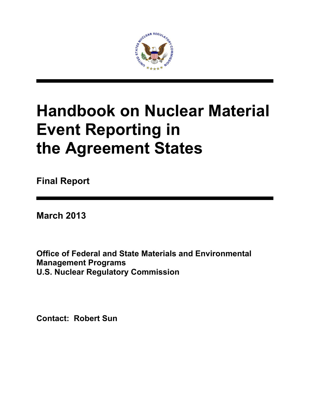

# **Handbook on Nuclear Material Event Reporting in the Agreement States**

**Final Report** 

**March 2013**

**Office of Federal and State Materials and Environmental Management Programs U.S. Nuclear Regulatory Commission** 

**Contact: Robert Sun**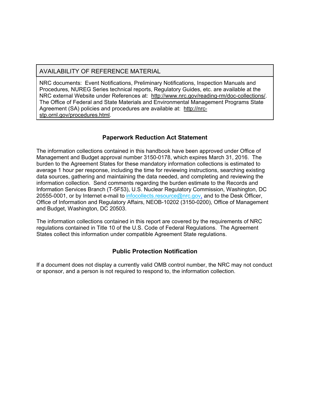#### AVAILABILITY OF REFERENCE MATERIAL

NRC documents: Event Notifications, Preliminary Notifications, Inspection Manuals and Procedures, NUREG Series technical reports, Regulatory Guides, etc. are available at the NRC external Website under References at: http://www.nrc.gov/reading-rm/doc-collections/. The Office of Federal and State Materials and Environmental Management Programs State Agreement (SA) policies and procedures are available at: http://nrcstp.ornl.gov/procedures.html.

#### **Paperwork Reduction Act Statement**

The information collections contained in this handbook have been approved under Office of Management and Budget approval number 3150-0178, which expires March 31, 2016. The burden to the Agreement States for these mandatory information collections is estimated to average 1 hour per response, including the time for reviewing instructions, searching existing data sources, gathering and maintaining the data needed, and completing and reviewing the information collection. Send comments regarding the burden estimate to the Records and Information Services Branch (T-5F53), U.S. Nuclear Regulatory Commission, Washington, DC 20555-0001, or by Internet e-mail to infocollects.resource@nrc.gov, and to the Desk Officer, Office of Information and Regulatory Affairs, NEOB-10202 (3150-0200), Office of Management and Budget, Washington, DC 20503.

The information collections contained in this report are covered by the requirements of NRC regulations contained in Title 10 of the U.S. Code of Federal Regulations. The Agreement States collect this information under compatible Agreement State regulations.

#### **Public Protection Notification**

If a document does not display a currently valid OMB control number, the NRC may not conduct or sponsor, and a person is not required to respond to, the information collection.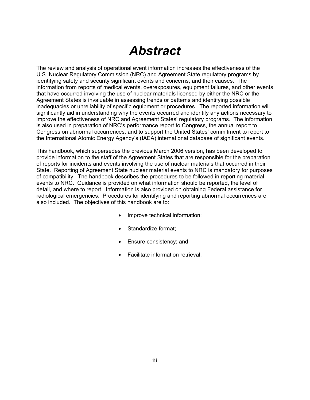## *Abstract*

The review and analysis of operational event information increases the effectiveness of the U.S. Nuclear Regulatory Commission (NRC) and Agreement State regulatory programs by identifying safety and security significant events and concerns, and their causes. The information from reports of medical events, overexposures, equipment failures, and other events that have occurred involving the use of nuclear materials licensed by either the NRC or the Agreement States is invaluable in assessing trends or patterns and identifying possible inadequacies or unreliability of specific equipment or procedures. The reported information will significantly aid in understanding why the events occurred and identify any actions necessary to improve the effectiveness of NRC and Agreement States' regulatory programs. The information is also used in preparation of NRC's performance report to Congress, the annual report to Congress on abnormal occurrences, and to support the United States' commitment to report to the International Atomic Energy Agency's (IAEA) international database of significant events.

This handbook, which supersedes the previous March 2006 version, has been developed to provide information to the staff of the Agreement States that are responsible for the preparation of reports for incidents and events involving the use of nuclear materials that occurred in their State. Reporting of Agreement State nuclear material events to NRC is mandatory for purposes of compatibility. The handbook describes the procedures to be followed in reporting material events to NRC. Guidance is provided on what information should be reported, the level of detail, and where to report. Information is also provided on obtaining Federal assistance for radiological emergencies. Procedures for identifying and reporting abnormal occurrences are also included. The objectives of this handbook are to:

- Improve technical information;
- Standardize format:
- Ensure consistency; and
- Facilitate information retrieval.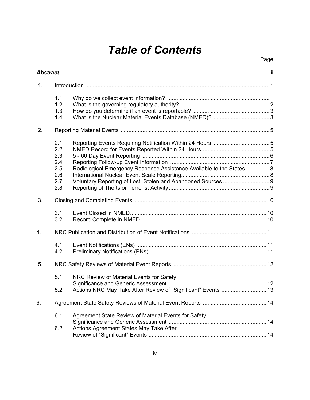## *Table of Contents*

Page

| 1. |                                                      |                                                                                                           |  |
|----|------------------------------------------------------|-----------------------------------------------------------------------------------------------------------|--|
|    | 1.1<br>1.2<br>1.3<br>1.4                             |                                                                                                           |  |
| 2. |                                                      |                                                                                                           |  |
|    | 2.1<br>2.2<br>2.3<br>2.4<br>2.5<br>2.6<br>2.7<br>2.8 | Radiological Emergency Response Assistance Available to the States  8                                     |  |
| 3. |                                                      |                                                                                                           |  |
|    | 3.1<br>3.2                                           |                                                                                                           |  |
| 4. |                                                      |                                                                                                           |  |
|    | 4.1<br>4.2                                           |                                                                                                           |  |
| 5. |                                                      |                                                                                                           |  |
|    | 5.1<br>5.2                                           | NRC Review of Material Events for Safety<br>Actions NRC May Take After Review of "Significant" Events  13 |  |
| 6. |                                                      |                                                                                                           |  |
|    | 6.1<br>6.2                                           | Agreement State Review of Material Events for Safety<br>Actions Agreement States May Take After           |  |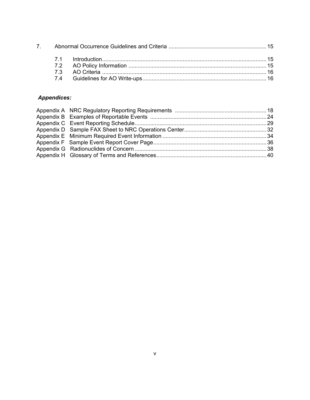#### *Appendices:*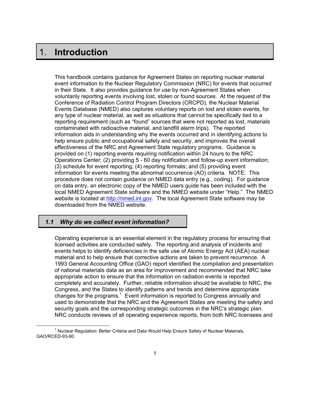### 1. **Introduction**

i<br>I

This handbook contains guidance for Agreement States on reporting nuclear material event information to the Nuclear Regulatory Commission (NRC) for events that occurred in their State. It also provides guidance for use by non-Agreement States when voluntarily reporting events involving lost, stolen or found sources. At the request of the Conference of Radiation Control Program Directors (CRCPD), the Nuclear Material Events Database (NMED) also captures voluntary reports on lost and stolen events, for any type of nuclear material, as well as situations that cannot be specifically tied to a reporting requirement (such as "found" sources that were not reported as lost, materials contaminated with radioactive material, and landfill alarm trips). The reported information aids in understanding why the events occurred and in identifying actions to help ensure public and occupational safety and security, and improves the overall effectiveness of the NRC and Agreement State regulatory programs. Guidance is provided on (1) reporting events requiring notification within 24 hours to the NRC Operations Center; (2) providing 5 - 60 day notification and follow-up event information; (3) schedule for event reporting; (4) reporting formats; and (5) providing event information for events meeting the abnormal occurrence (AO) criteria. NOTE: This procedure does not contain guidance on NMED data entry (e.g., coding). For guidance on data entry, an electronic copy of the NMED users guide has been included with the local NMED Agreement State software and the NMED website under "Help." The NMED website is located at http://nmed.inl.gov. The local Agreement State software may be downloaded from the NMED website.

#### *1.1 Why do we collect event information?*

Operating experience is an essential element in the regulatory process for ensuring that licensed activities are conducted safely. The reporting and analysis of incidents and events helps to identify deficiencies in the safe use of Atomic Energy Act (AEA) nuclear material and to help ensure that corrective actions are taken to prevent recurrence. A 1993 General Accounting Office (GAO) report identified the compilation and presentation of national materials data as an area for improvement and recommended that NRC take appropriate action to ensure that the information on radiation events is reported completely and accurately. Further, reliable information should be available to NRC, the Congress, and the States to identify patterns and trends and determine appropriate changes for the programs.<sup>1</sup> Event information is reported to Congress annually and used to demonstrate that the NRC and the Agreement States are meeting the safety and security goals and the corresponding strategic outcomes in the NRC's strategic plan. NRC conducts reviews of all operating experience reports, from both NRC licensees and

 $\overline{\phantom{a}}$  $1$  Nuclear Regulation: Better Criteria and Data Would Help Ensure Safety of Nuclear Materials, GAO/RCED-93-90.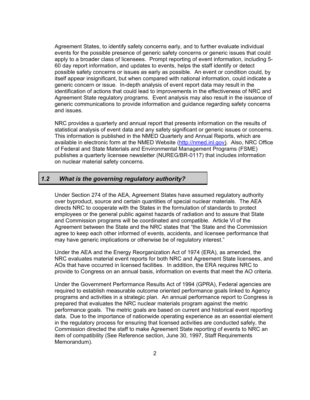Agreement States, to identify safety concerns early, and to further evaluate individual events for the possible presence of generic safety concerns or generic issues that could apply to a broader class of licensees. Prompt reporting of event information, including 5- 60 day report information, and updates to events, helps the staff identify or detect possible safety concerns or issues as early as possible. An event or condition could, by itself appear insignificant, but when compared with national information, could indicate a generic concern or issue. In-depth analysis of event report data may result in the identification of actions that could lead to improvements in the effectiveness of NRC and Agreement State regulatory programs. Event analysis may also result in the issuance of generic communications to provide information and guidance regarding safety concerns and issues.

NRC provides a quarterly and annual report that presents information on the results of statistical analysis of event data and any safety significant or generic issues or concerns. This information is published in the NMED Quarterly and Annual Reports, which are available in electronic form at the NMED Website (http://nmed.inl.gov). Also, NRC Office of Federal and State Materials and Environmental Management Programs (FSME) publishes a quarterly licensee newsletter (NUREG/BR-0117) that includes information on nuclear material safety concerns.

#### *1.2 What is the governing regulatory authority?*

Under Section 274 of the AEA, Agreement States have assumed regulatory authority over byproduct, source and certain quantities of special nuclear materials. The AEA directs NRC to cooperate with the States in the formulation of standards to protect employees or the general public against hazards of radiation and to assure that State and Commission programs will be coordinated and compatible. Article VI of the Agreement between the State and the NRC states that "the State and the Commission agree to keep each other informed of events, accidents, and licensee performance that may have generic implications or otherwise be of regulatory interest."

Under the AEA and the Energy Reorganization Act of 1974 (ERA), as amended, the NRC evaluates material event reports for both NRC and Agreement State licensees, and AOs that have occurred in licensed facilities. In addition, the ERA requires NRC to provide to Congress on an annual basis, information on events that meet the AO criteria.

Under the Government Performance Results Act of 1994 (GPRA), Federal agencies are required to establish measurable outcome oriented performance goals linked to Agency programs and activities in a strategic plan. An annual performance report to Congress is prepared that evaluates the NRC nuclear materials program against the metric performance goals. The metric goals are based on current and historical event reporting data. Due to the importance of nationwide operating experience as an essential element in the regulatory process for ensuring that licensed activities are conducted safely, the Commission directed the staff to make Agreement State reporting of events to NRC an item of compatibility (See Reference section, June 30, 1997, Staff Requirements Memorandum).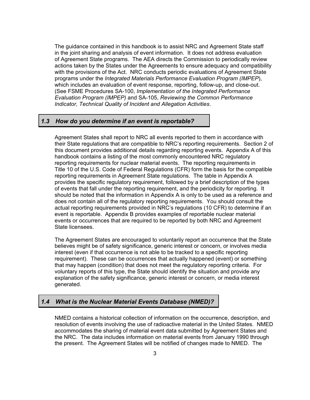The guidance contained in this handbook is to assist NRC and Agreement State staff in the joint sharing and analysis of event information. It does not address evaluation of Agreement State programs. The AEA directs the Commission to periodically review actions taken by the States under the Agreements to ensure adequacy and compatibility with the provisions of the Act. NRC conducts periodic evaluations of Agreement State programs under the *Integrated Materials Performance Evaluation Program (IMPEP*), which includes an evaluation of event response, reporting, follow-up, and close-out. (See FSME Procedures SA-100, *Implementation of the Integrated Performance Evaluation Program (IMPEP)* and SA-105, *Reviewing the Common Performance Indicator, Technical Quality of Incident and Allegation Activities*.

#### *1.3 How do you determine if an event is reportable?*

Agreement States shall report to NRC all events reported to them in accordance with their State regulations that are compatible to NRC's reporting requirements. Section 2 of this document provides additional details regarding reporting events. Appendix A of this handbook contains a listing of the most commonly encountered NRC regulatory reporting requirements for nuclear material events. The reporting requirements in Title 10 of the U.S. Code of Federal Regulations (CFR) form the basis for the compatible reporting requirements in Agreement State regulations. The table in Appendix A provides the specific regulatory requirement, followed by a brief description of the types of events that fall under the reporting requirement, and the periodicity for reporting. It should be noted that the information in Appendix A is only to be used as a reference and does not contain all of the regulatory reporting requirements. You should consult the actual reporting requirements provided in NRC's regulations (10 CFR) to determine if an event is reportable. Appendix B provides examples of reportable nuclear material events or occurrences that are required to be reported by both NRC and Agreement State licensees.

The Agreement States are encouraged to voluntarily report an occurrence that the State believes might be of safety significance, generic interest or concern, or involves media interest (even if that occurrence is not able to be tracked to a specific reporting requirement). These can be occurrences that actually happened (event) or something that may happen (condition) that does not meet the regulatory reporting criteria. For voluntary reports of this type, the State should identify the situation and provide any explanation of the safety significance, generic interest or concern, or media interest generated.

#### *1.4 What is the Nuclear Material Events Database (NMED)?*

NMED contains a historical collection of information on the occurrence, description, and resolution of events involving the use of radioactive material in the United States. NMED accommodates the sharing of material event data submitted by Agreement States and the NRC. The data includes information on material events from January 1990 through the present. The Agreement States will be notified of changes made to NMED. The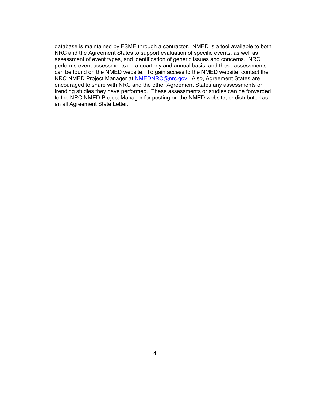database is maintained by FSME through a contractor. NMED is a tool available to both NRC and the Agreement States to support evaluation of specific events, as well as assessment of event types, and identification of generic issues and concerns. NRC performs event assessments on a quarterly and annual basis, and these assessments can be found on the NMED website. To gain access to the NMED website, contact the NRC NMED Project Manager at **NMEDNRC@nrc.gov.** Also, Agreement States are encouraged to share with NRC and the other Agreement States any assessments or trending studies they have performed. These assessments or studies can be forwarded to the NRC NMED Project Manager for posting on the NMED website, or distributed as an all Agreement State Letter.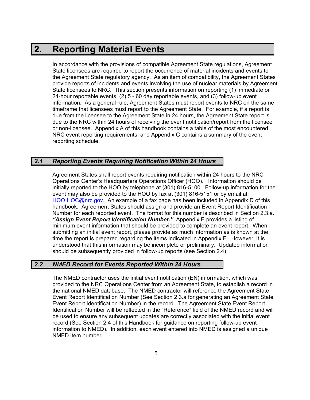### **2. Reporting Material Events**

In accordance with the provisions of compatible Agreement State regulations, Agreement State licensees are required to report the occurrence of material incidents and events to the Agreement State regulatory agency. As an item of compatibility, the Agreement States provide reports of incidents and events involving the use of nuclear materials by Agreement State licensees to NRC. This section presents information on reporting (1) immediate or 24-hour reportable events, (2) 5 - 60 day reportable events, and (3) follow-up event information. As a general rule, Agreement States must report events to NRC on the same timeframe that licensees must report to the Agreement State. For example, if a report is due from the licensee to the Agreement State in 24 hours, the Agreement State report is due to the NRC within 24 hours of receiving the event notification/report from the licensee or non-licensee. Appendix A of this handbook contains a table of the most encountered NRC event reporting requirements, and Appendix C contains a summary of the event reporting schedule.

#### *2.1 Reporting Events Requiring Notification Within 24 Hours*

Agreement States shall report events requiring notification within 24 hours to the NRC Operations Center's Headquarters Operations Officer (HOO). Information should be initially reported to the HOO by telephone at (301) 816-5100. Follow-up information for the event may also be provided to the HOO by fax at (301) 816-5151 or by email at HOO.HOC@nrc.gov. An example of a fax page has been included in Appendix D of this handbook. Agreement States should assign and provide an Event Report Identification Number for each reported event. The format for this number is described in Section 2.3.a. *"Assign Event Report Identification Number."* Appendix E provides a listing of minimum event information that should be provided to complete an event report. When submitting an initial event report, please provide as much information as is known at the time the report is prepared regarding the items indicated in Appendix E. However, it is understood that this information may be incomplete or preliminary. Updated information should be subsequently provided in follow-up reports (see Section 2.4).

#### *2.2 NMED Record for Events Reported Within 24 Hours*

The NMED contractor uses the initial event notification (EN) information, which was provided to the NRC Operations Center from an Agreement State, to establish a record in the national NMED database. The NMED contractor will reference the Agreement State Event Report Identification Number (See Section 2.3.a for generating an Agreement State Event Report Identification Number) in the record. The Agreement State Event Report Identification Number will be reflected in the "Reference" field of the NMED record and will be used to ensure any subsequent updates are correctly associated with the initial event record (See Section 2.4 of this Handbook for guidance on reporting follow-up event information to NMED). In addition, each event entered into NMED is assigned a unique NMED item number.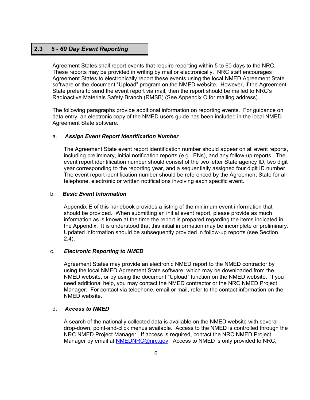#### **2.3** *5 - 60 Day Event Reporting*

Agreement States shall report events that require reporting within 5 to 60 days to the NRC. These reports may be provided in writing by mail or electronically. NRC staff encourages Agreement States to electronically report these events using the local NMED Agreement State software or the document "Upload" program on the NMED website. However, if the Agreement State prefers to send the event report via mail, then the report should be mailed to NRC's Radioactive Materials Safety Branch (RMSB) (See Appendix C for mailing address).

The following paragraphs provide additional information on reporting events. For guidance on data entry, an electronic copy of the NMED users guide has been included in the local NMED Agreement State software.

#### a. *Assign Event Report Identification Number*

The Agreement State event report identification number should appear on all event reports, including preliminary, initial notification reports (e.g., ENs), and any follow-up reports. The event report identification number should consist of the two letter State agency ID, two digit year corresponding to the reporting year, and a sequentially assigned four digit ID number. The event report identification number should be referenced by the Agreement State for all telephone, electronic or written notifications involving each specific event.

#### b. *Basic Event Information*

Appendix E of this handbook provides a listing of the minimum event information that should be provided. When submitting an initial event report, please provide as much information as is known at the time the report is prepared regarding the items indicated in the Appendix. It is understood that this initial information may be incomplete or preliminary. Updated information should be subsequently provided in follow-up reports (see Section 2.4).

#### c.*Electronic Reporting to NMED*

Agreement States may provide an electronic NMED report to the NMED contractor by using the local NMED Agreement State software, which may be downloaded from the NMED website, or by using the document "Upload" function on the NMED website. If you need additional help, you may contact the NMED contractor or the NRC NMED Project Manager. For contact via telephone, email or mail, refer to the contact information on the NMED website.

#### d. *Access to NMED*

A search of the nationally collected data is available on the NMED website with several drop-down, point-and-click menus available. Access to the NMED is controlled through the NRC NMED Project Manager. If access is required, contact the NRC NMED Project Manager by email at NMEDNRC@nrc.gov. Access to NMED is only provided to NRC,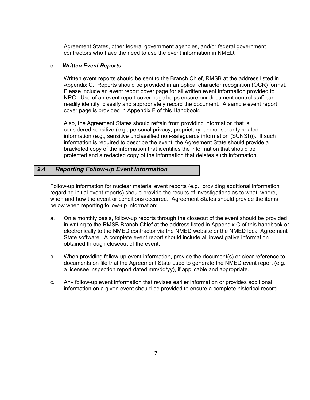Agreement States, other federal government agencies, and/or federal government contractors who have the need to use the event information in NMED.

#### e. *Written Event Reports*

Written event reports should be sent to the Branch Chief, RMSB at the address listed in Appendix C. Reports should be provided in an optical character recognition (OCR) format. Please include an event report cover page for all written event information provided to NRC. Use of an event report cover page helps ensure our document control staff can readily identify, classify and appropriately record the document. A sample event report cover page is provided in Appendix F of this Handbook.

Also, the Agreement States should refrain from providing information that is considered sensitive (e.g., personal privacy, proprietary, and/or security related information (e.g., sensitive unclassified non-safeguards information (SUNSI))). If such information is required to describe the event, the Agreement State should provide a bracketed copy of the information that identifies the information that should be protected and a redacted copy of the information that deletes such information.

#### *2.4 Reporting Follow-up Event Information*

Follow-up information for nuclear material event reports (e.g., providing additional information regarding initial event reports) should provide the results of investigations as to what, where, when and how the event or conditions occurred. Agreement States should provide the items below when reporting follow-up information:

- a. On a monthly basis, follow-up reports through the closeout of the event should be provided in writing to the RMSB Branch Chief at the address listed in Appendix C of this handbook or electronically to the NMED contractor via the NMED website or the NMED local Agreement State software. A complete event report should include all investigative information obtained through closeout of the event.
- b. When providing follow-up event information, provide the document(s) or clear reference to documents on file that the Agreement State used to generate the NMED event report (e.g., a licensee inspection report dated mm/dd/yy), if applicable and appropriate.
- c. Any follow-up event information that revises earlier information or provides additional information on a given event should be provided to ensure a complete historical record.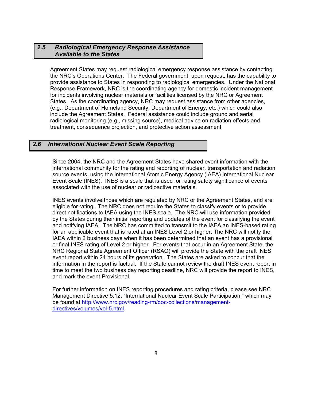#### *2.5 Radiological Emergency Response Assistance Available to the States*

Agreement States may request radiological emergency response assistance by contacting the NRC's Operations Center. The Federal government, upon request, has the capability to provide assistance to States in responding to radiological emergencies. Under the National Response Framework, NRC is the coordinating agency for domestic incident management for incidents involving nuclear materials or facilities licensed by the NRC or Agreement States. As the coordinating agency, NRC may request assistance from other agencies, (e.g., Department of Homeland Security, Department of Energy, etc.) which could also include the Agreement States. Federal assistance could include ground and aerial radiological monitoring (e.g., missing source), medical advice on radiation effects and treatment, consequence projection, and protective action assessment.

#### *2.6 International Nuclear Event Scale Reporting*

Since 2004, the NRC and the Agreement States have shared event information with the international community for the rating and reporting of nuclear, transportation and radiation source events, using the International Atomic Energy Agency (IAEA) International Nuclear Event Scale (INES). INES is a scale that is used for rating safety significance of events associated with the use of nuclear or radioactive materials.

INES events involve those which are regulated by NRC or the Agreement States, and are eligible for rating. The NRC does not require the States to classify events or to provide direct notifications to IAEA using the INES scale. The NRC will use information provided by the States during their initial reporting and updates of the event for classifying the event and notifying IAEA. The NRC has committed to transmit to the IAEA an INES-based rating for an applicable event that is rated at an INES Level 2 or higher. The NRC will notify the IAEA within 2 business days when it has been determined that an event has a provisional or final INES rating of Level 2 or higher. For events that occur in an Agreement State, the NRC Regional State Agreement Officer (RSAO) will provide the State with the draft INES event report within 24 hours of its generation. The States are asked to concur that the information in the report is factual. If the State cannot review the draft INES event report in time to meet the two business day reporting deadline, NRC will provide the report to INES, and mark the event Provisional.

For further information on INES reporting procedures and rating criteria, please see NRC Management Directive 5.12, "International Nuclear Event Scale Participation," which may be found at http://www.nrc.gov/reading-rm/doc-collections/managementdirectives/volumes/vol-5.html.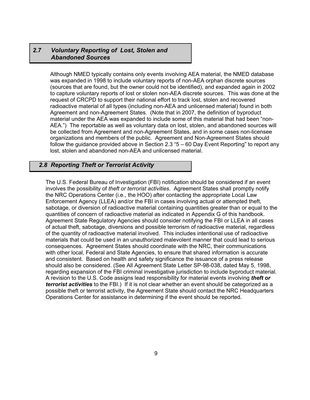#### *2.7 Voluntary Reporting of Lost, Stolen and Abandoned Sources*

Although NMED typically contains only events involving AEA material, the NMED database was expanded in 1998 to include voluntary reports of non-AEA orphan discrete sources (sources that are found, but the owner could not be identified), and expanded again in 2002 to capture voluntary reports of lost or stolen non-AEA discrete sources. This was done at the request of CRCPD to support their national effort to track lost, stolen and recovered radioactive material of all types (including non-AEA and unlicensed material) found in both Agreement and non-Agreement States. (Note that in 2007, the definition of byproduct material under the AEA was expanded to include some of this material that had been "non-AEA.") The reportable as well as voluntary data on lost, stolen, and abandoned sources will be collected from Agreement and non-Agreement States, and in some cases non-licensee organizations and members of the public. Agreement and Non-Agreement States should follow the guidance provided above in Section 2.3 "5 – 60 Day Event Reporting" to report any lost, stolen and abandoned non-AEA and unlicensed material.

#### *2.8 Reporting Theft or Terrorist Activity*

The U.S. Federal Bureau of Investigation (FBI) notification should be considered if an event involves the possibility of *theft or terrorist activities*. Agreement States shall promptly notify the NRC Operations Center (i.e., the HOO) after contacting the appropriate Local Law Enforcement Agency (LLEA) and/or the FBI in cases involving actual or attempted theft, sabotage, or diversion of radioactive material containing quantities greater than or equal to the quantities of concern of radioactive material as indicated in Appendix G of this handbook. Agreement State Regulatory Agencies should consider notifying the FBI or LLEA in all cases of actual theft, sabotage, diversions and possible terrorism of radioactive material, regardless of the quantity of radioactive material involved. This includes intentional use of radioactive materials that could be used in an unauthorized malevolent manner that could lead to serious consequences. Agreement States should coordinate with the NRC, their communications with other local, Federal and State Agencies, to ensure that shared information is accurate and consistent. Based on health and safety significance the issuance of a press release should also be considered. (See All Agreement State Letter SP-98-038, dated May 5, 1998, regarding expansion of the FBI criminal investigative jurisdiction to include byproduct material. A revision to the U.S. Code assigns lead responsibility for material events involving *theft or terrorist activities* to the FBI.) If it is not clear whether an event should be categorized as a possible theft or terrorist activity, the Agreement State should contact the NRC Headquarters Operations Center for assistance in determining if the event should be reported.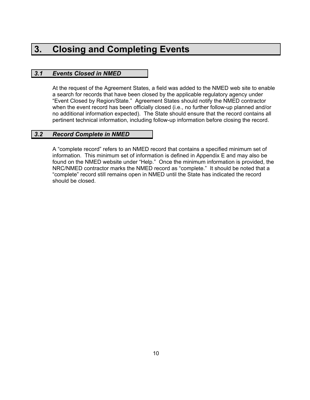### **3. Closing and Completing Events**

#### *3.1 Events Closed in NMED*

At the request of the Agreement States, a field was added to the NMED web site to enable a search for records that have been closed by the applicable regulatory agency under "Event Closed by Region/State." Agreement States should notify the NMED contractor when the event record has been officially closed (i.e., no further follow-up planned and/or no additional information expected). The State should ensure that the record contains all pertinent technical information, including follow-up information before closing the record.

#### *3.2 Record Complete in NMED*

A "complete record" refers to an NMED record that contains a specified minimum set of information. This minimum set of information is defined in Appendix E and may also be found on the NMED website under "Help." Once the minimum information is provided, the NRC/NMED contractor marks the NMED record as "complete." It should be noted that a "complete" record still remains open in NMED until the State has indicated the record should be closed.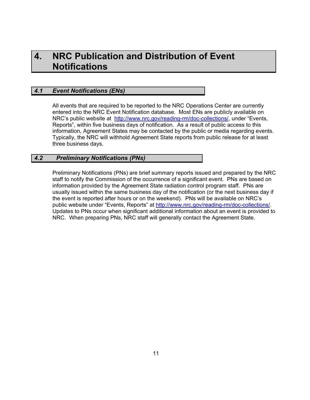### **4. NRC Publication and Distribution of Event Notifications**

#### *4.1 Event Notifications (ENs)*

All events that are required to be reported to the NRC Operations Center are currently entered into the NRC Event Notification database. Most ENs are publicly available on NRC's public website at http://www.nrc.gov/reading-rm/doc-collections/, under "Events, Reports", within five business days of notification. As a result of public access to this information, Agreement States may be contacted by the public or media regarding events. Typically, the NRC will withhold Agreement State reports from public release for at least three business days.

#### *4.2 Preliminary Notifications (PNs)*

Preliminary Notifications (PNs) are brief summary reports issued and prepared by the NRC staff to notify the Commission of the occurrence of a significant event. PNs are based on information provided by the Agreement State radiation control program staff. PNs are usually issued within the same business day of the notification (or the next business day if the event is reported after hours or on the weekend). PNs will be available on NRC's public website under "Events, Reports" at http://www.nrc.gov/reading-rm/doc-collections/. Updates to PNs occur when significant additional information about an event is provided to NRC. When preparing PNs, NRC staff will generally contact the Agreement State.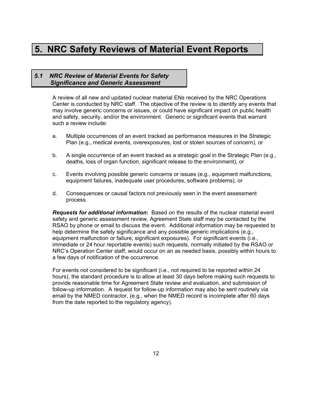### **5. NRC Safety Reviews of Material Event Reports**

#### *5.1 NRC Review of Material Events for Safety Significance and Generic Assessment*

A review of all new and updated nuclear material ENs received by the NRC Operations Center is conducted by NRC staff. The objective of the review is to identify any events that may involve generic concerns or issues, or could have significant impact on public health and safety, security, and/or the environment. Generic or significant events that warrant such a review include:

- a. Multiple occurrences of an event tracked as performance measures in the Strategic Plan (e.g., medical events, overexposures, lost or stolen sources of concern), or
- b. A single occurrence of an event tracked as a strategic goal in the Strategic Plan (e.g., deaths, loss of organ function, significant release to the environment), or
- c. Events involving possible generic concerns or issues (e.g., equipment malfunctions, equipment failures, inadequate user procedures, software problems), or
- d. Consequences or causal factors not previously seen in the event assessment process.

*Requests for additional information***:** Based on the results of the nuclear material event safety and generic assessment review, Agreement State staff may be contacted by the RSAO by phone or email to discuss the event. Additional information may be requested to help determine the safety significance and any possible generic implications (e.g., equipment malfunction or failure, significant exposures). For significant events (i.e., immediate or 24 hour reportable events) such requests, normally initiated by the RSAO or NRC's Operation Center staff, would occur on an as needed basis, possibly within hours to a few days of notification of the occurrence.

For events not considered to be significant (i.e., not required to be reported within 24 hours), the standard procedure is to allow at least 30 days before making such requests to provide reasonable time for Agreement State review and evaluation, and submission of follow-up information. A request for follow-up information may also be sent routinely via email by the NMED contractor, (e.g., when the NMED record is incomplete after 60 days from the date reported to the regulatory agency).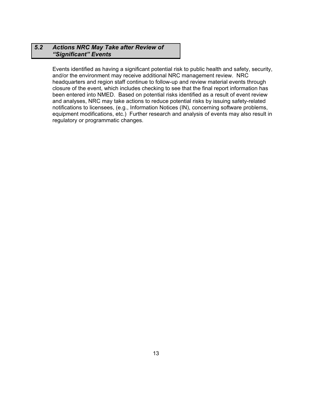#### *5.2 Actions NRC May Take after Review of "Significant" Events*

Events identified as having a significant potential risk to public health and safety, security, and/or the environment may receive additional NRC management review. NRC headquarters and region staff continue to follow-up and review material events through closure of the event, which includes checking to see that the final report information has been entered into NMED. Based on potential risks identified as a result of event review and analyses, NRC may take actions to reduce potential risks by issuing safety-related notifications to licensees, (e.g., Information Notices (IN), concerning software problems, equipment modifications, etc.) Further research and analysis of events may also result in regulatory or programmatic changes.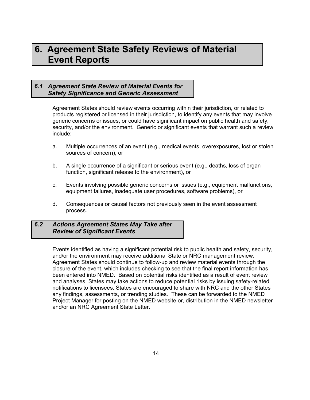### **6. Agreement State Safety Reviews of Material Event Reports**

#### *6.1 Agreement State Review of Material Events for Safety Significance and Generic Assessment*

Agreement States should review events occurring within their jurisdiction, or related to products registered or licensed in their jurisdiction, to identify any events that may involve generic concerns or issues, or could have significant impact on public health and safety, security, and/or the environment. Generic or significant events that warrant such a review include:

- a. Multiple occurrences of an event (e.g., medical events, overexposures, lost or stolen sources of concern), or
- b. A single occurrence of a significant or serious event (e.g., deaths, loss of organ function, significant release to the environment), or
- c. Events involving possible generic concerns or issues (e.g., equipment malfunctions, equipment failures, inadequate user procedures, software problems), or
- d. Consequences or causal factors not previously seen in the event assessment process.

#### *6.2 Actions Agreement States May Take after Review of Significant Events*

Events identified as having a significant potential risk to public health and safety, security, and/or the environment may receive additional State or NRC management review. Agreement States should continue to follow-up and review material events through the closure of the event, which includes checking to see that the final report information has been entered into NMED. Based on potential risks identified as a result of event review and analyses, States may take actions to reduce potential risks by issuing safety-related notifications to licensees. States are encouraged to share with NRC and the other States any findings, assessments, or trending studies. These can be forwarded to the NMED Project Manager for posting on the NMED website or, distribution in the NMED newsletter and/or an NRC Agreement State Letter.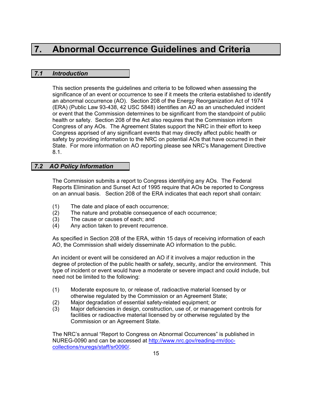### **7. Abnormal Occurrence Guidelines and Criteria**

#### *7.1 Introduction*

This section presents the guidelines and criteria to be followed when assessing the significance of an event or occurrence to see if it meets the criteria established to identify an abnormal occurrence (AO). Section 208 of the Energy Reorganization Act of 1974 (ERA) (Public Law 93-438, 42 USC 5848) identifies an AO as an unscheduled incident or event that the Commission determines to be significant from the standpoint of public health or safety. Section 208 of the Act also requires that the Commission inform Congress of any AOs. The Agreement States support the NRC in their effort to keep Congress apprised of any significant events that may directly affect public health or safety by providing information to the NRC on potential AOs that have occurred in their State. For more information on AO reporting please see NRC's Management Directive 8.1.

#### *7.2 AO Policy Information*

The Commission submits a report to Congress identifying any AOs. The Federal Reports Elimination and Sunset Act of 1995 require that AOs be reported to Congress on an annual basis. Section 208 of the ERA indicates that each report shall contain:

- (1) The date and place of each occurrence;
- (2) The nature and probable consequence of each occurrence;
- (3) The cause or causes of each; and
- (4) Any action taken to prevent recurrence.

As specified in Section 208 of the ERA, within 15 days of receiving information of each AO, the Commission shall widely disseminate AO information to the public.

An incident or event will be considered an AO if it involves a major reduction in the degree of protection of the public health or safety, security, and/or the environment. This type of incident or event would have a moderate or severe impact and could include, but need not be limited to the following:

- (1) Moderate exposure to, or release of, radioactive material licensed by or otherwise regulated by the Commission or an Agreement State;
- (2) Major degradation of essential safety-related equipment; or
- (3) Major deficiencies in design, construction, use of, or management controls for facilities or radioactive material licensed by or otherwise regulated by the Commission or an Agreement State.

The NRC's annual "Report to Congress on Abnormal Occurrences" is published in NUREG-0090 and can be accessed at http://www.nrc.gov/reading-rm/doccollections/nuregs/staff/sr0090/.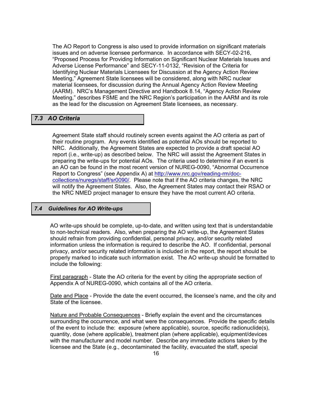The AO Report to Congress is also used to provide information on significant materials issues and on adverse licensee performance. In accordance with SECY-02-216, "Proposed Process for Providing Information on Significant Nuclear Materials Issues and Adverse License Performance" and SECY-11-0132, "Revision of the Criteria for Identifying Nuclear Materials Licensees for Discussion at the Agency Action Review Meeting," Agreement State licensees will be considered, along with NRC nuclear material licensees, for discussion during the Annual Agency Action Review Meeting (AARM). NRC's Management Directive and Handbook 8.14, "Agency Action Review Meeting," describes FSME and the NRC Region's participation in the AARM and its role as the lead for the discussion on Agreement State licensees, as necessary.

#### *7.3 AO Criteria*

Agreement State staff should routinely screen events against the AO criteria as part of their routine program. Any events identified as potential AOs should be reported to NRC. Additionally, the Agreement States are expected to provide a draft special AO report (i.e., write-up) as described below. The NRC will assist the Agreement States in preparing the write-ups for potential AOs. The criteria used to determine if an event is an AO can be found in the most recent version of NUREG-0090, "Abnormal Occurrence Report to Congress" (see Appendix A) at http://www.nrc.gov/reading-rm/doccollections/nuregs/staff/sr0090/. Please note that if the AO criteria changes, the NRC will notify the Agreement States. Also, the Agreement States may contact their RSAO or the NRC NMED project manager to ensure they have the most current AO criteria.

#### *7.4 Guidelines for AO Write-ups*

AO write-ups should be complete, up-to-date, and written using text that is understandable to non-technical readers. Also, when preparing the AO write-up, the Agreement States should refrain from providing confidential, personal privacy, and/or security related information unless the information is required to describe the AO. If confidential, personal privacy, and/or security related information is included in the report, the report should be properly marked to indicate such information exist. The AO write-up should be formatted to include the following:

First paragraph - State the AO criteria for the event by citing the appropriate section of Appendix A of NUREG-0090, which contains all of the AO criteria.

Date and Place - Provide the date the event occurred, the licensee's name, and the city and State of the licensee.

Nature and Probable Consequences - Briefly explain the event and the circumstances surrounding the occurrence, and what were the consequences. Provide the specific details of the event to include the: exposure (where applicable), source, specific radionuclide(s), quantity, dose (where applicable), treatment plan (where applicable), equipment/devices with the manufacturer and model number. Describe any immediate actions taken by the licensee and the State (e.g., decontaminated the facility, evacuated the staff, special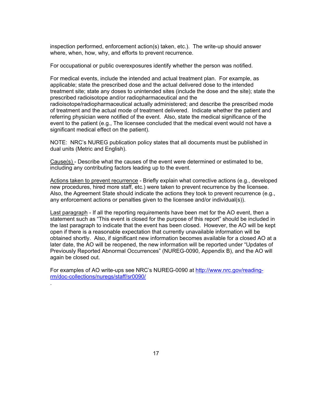inspection performed, enforcement action(s) taken, etc.). The write-up should answer where, when, how, why, and efforts to prevent recurrence.

For occupational or public overexposures identify whether the person was notified.

For medical events, include the intended and actual treatment plan. For example, as applicable; state the prescribed dose and the actual delivered dose to the intended treatment site; state any doses to unintended sites (include the dose and the site); state the prescribed radioisotope and/or radiopharmaceutical and the radioisotope/radiopharmaceutical actually administered; and describe the prescribed mode of treatment and the actual mode of treatment delivered. Indicate whether the patient and referring physician were notified of the event. Also, state the medical significance of the event to the patient (e.g., The licensee concluded that the medical event would not have a significant medical effect on the patient).

NOTE: NRC's NUREG publication policy states that all documents must be published in dual units (Metric and English).

Cause(s) - Describe what the causes of the event were determined or estimated to be, including any contributing factors leading up to the event.

Actions taken to prevent recurrence - Briefly explain what corrective actions (e.g., developed new procedures, hired more staff, etc.) were taken to prevent recurrence by the licensee. Also, the Agreement State should indicate the actions they took to prevent recurrence (e.g., any enforcement actions or penalties given to the licensee and/or individual(s)).

Last paragraph - If all the reporting requirements have been met for the AO event, then a statement such as "This event is closed for the purpose of this report" should be included in the last paragraph to indicate that the event has been closed. However, the AO will be kept open if there is a reasonable expectation that currently unavailable information will be obtained shortly. Also, if significant new information becomes available for a closed AO at a later date, the AO will be reopened, the new information will be reported under "Updates of Previously Reported Abnormal Occurrences" (NUREG-0090, Appendix B), and the AO will again be closed out.

For examples of AO write-ups see NRC's NUREG-0090 at http://www.nrc.gov/readingrm/doc-collections/nuregs/staff/sr0090/

.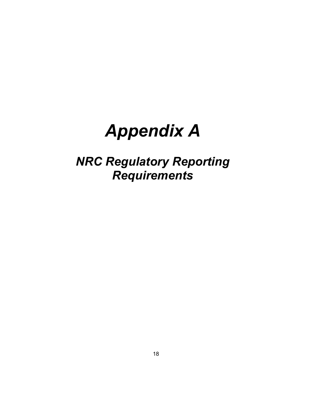# *Appendix A*

## *NRC Regulatory Reporting Requirements*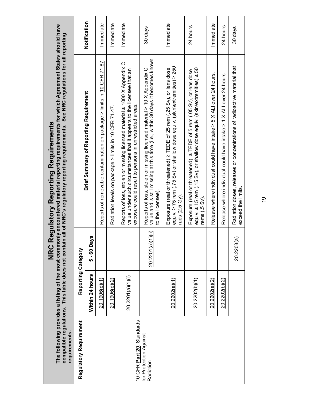| compatible regulations. This table does not contain<br>requirements. |                    | <b>NRC</b>        | The following provides a listing of the most commonly encountered material reporting requirements for which Agreement States should have<br>n all of NRC's regulatory reporting requirements. See NRC regulations for all reporting<br>Regulatory Reporting Requirements |              |
|----------------------------------------------------------------------|--------------------|-------------------|--------------------------------------------------------------------------------------------------------------------------------------------------------------------------------------------------------------------------------------------------------------------------|--------------|
| <b>Regulatory Requirement</b>                                        | Reporting Category |                   |                                                                                                                                                                                                                                                                          |              |
|                                                                      | Within 24 hours    | $5 - 60$ Days     | <b>Brief Summary of Reporting Requirement</b>                                                                                                                                                                                                                            | Notification |
|                                                                      | 20.1906(d)(1)      |                   | Reports of removable contamination on package > limits in 10 CFR 71.87.                                                                                                                                                                                                  | Immediate    |
|                                                                      | 20.1906(d)(2)      |                   | Radiation levels on package > limits in 10 CFR 71.47.                                                                                                                                                                                                                    | Inmediate    |
| 10 CFR Part 20, Standards                                            | 20.2201(a)(1)(i)   |                   | Reports of loss, stolen or missing licensed material ≥ 1000 X Appendix C<br>value under such circumstances that it appears to the licensee that an<br>exposure could result to persons in unrestricted areas.                                                            | Immediate    |
| for Protection Against<br>Radiation                                  |                    | 20.2201(a)(1)(ii) | value and is still missing at this time (i.e., within 30 days it becomes known<br>Reports of loss, stolen or missing licensed material > 10 X Appendix C<br>to the licensee).                                                                                            | 30 days      |
|                                                                      | 20.2202(a)(1)      |                   | equiv. ≥ 75 rem (.75 Sv) or shallow dose equiv. (skin\extremities) ≥ 250<br>Exposure (real or threatened) ≥ TEDE of 25 rem (.25 Sv), or lens dose<br>rads $(2.5 \text{ Gy})$ .                                                                                           | Immediate    |
|                                                                      | 20.2202(b)(1)      |                   | equiv. 2 15 rem (.15 Sv), or shallow dose equiv. (skin\extremities) 2 50<br>Exposure (real or threatened) ≥ TEDE of 5 rem (.05 Sv), or lens dose<br>rems (.5 Sv).                                                                                                        | 24 hours     |
|                                                                      | 20.2202(a)(2)      |                   | Release where individual could have intake ≥ 5 X ALI over 24 hours.                                                                                                                                                                                                      | Immediate    |
|                                                                      | 20.2202(b)(2)      |                   | Release where individual could have intake > 1 X ALI over 24 hours.                                                                                                                                                                                                      | 24 hours     |
|                                                                      |                    | 20.2203(a)        | Radiation doses, releases or concentrations of radioactive material that<br>exceed the limits                                                                                                                                                                            | 30 days      |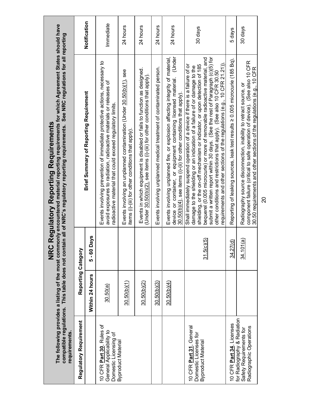| The following provides a listing of the most commo<br>compatible regulations. This table does not contai<br>requirements. |                    | <b>NRC</b>    | only encountered material reporting requirements for which Agreement States should have<br>in all of NRC's regulatory reporting requirements. See NRC regulations for all reporting<br><b>Regulatory Reporting Requirements</b>                                                                                                                                                                                                                                                                                                                           |              |
|---------------------------------------------------------------------------------------------------------------------------|--------------------|---------------|-----------------------------------------------------------------------------------------------------------------------------------------------------------------------------------------------------------------------------------------------------------------------------------------------------------------------------------------------------------------------------------------------------------------------------------------------------------------------------------------------------------------------------------------------------------|--------------|
| Regulatory Requirement                                                                                                    | Reporting Category |               |                                                                                                                                                                                                                                                                                                                                                                                                                                                                                                                                                           |              |
|                                                                                                                           | Within 24 hours    | $5 - 60$ Days | <b>Brief Summary of Reporting Requirement</b>                                                                                                                                                                                                                                                                                                                                                                                                                                                                                                             | Notification |
| 10 CFR Part 30, Rules of<br>General Applicability to<br>Domestic Licensing of                                             | 30.50(a)           |               | Events involving prevention of immediate protective actions, necessary to<br>avoid exposures to radiation, radioactive materials or releases of<br>radioactive material that could exceed regulatory limits                                                                                                                                                                                                                                                                                                                                               | Immediate    |
| Byproduct Material                                                                                                        | 30.50(b)(1)        |               | Events involving an unplanned contamination (Under 30.50(b)(1), see<br>items (i)-(iii) for other conditions that apply).                                                                                                                                                                                                                                                                                                                                                                                                                                  | 24 hours     |
|                                                                                                                           | 30.50(b)(2)        |               | Events in which equipment is disabled or fails to function as designed.<br>(Under 30.50(b)(2), see items (i)-(iii) for other conditions that apply).                                                                                                                                                                                                                                                                                                                                                                                                      | 24 hours     |
|                                                                                                                           | 30.50(b)(3)        |               | Events involving unplanned medical treatment of contaminated person.                                                                                                                                                                                                                                                                                                                                                                                                                                                                                      | 24 hours     |
|                                                                                                                           | 30.50(b)(4)        |               | (Under<br>Events involving unplanned fire, or explosion affecting integrity of material,<br>device or container, or equipment containing licensed material.<br>$30.50(b)(4)$ , see items (i)-(ii) for other conditions that apply)                                                                                                                                                                                                                                                                                                                        | 24 hours     |
| 10 CFR Part 31, General<br>Domestic Licenses for<br>Byproduct Material                                                    |                    | 31.5(c)(5)    | submit a written report within 30 days. (See the rest of Paragraph (c)(5) for<br>bequerel (0.005 microcurie) or more of removable radioactive material, and<br>requirements and other sections of the regulations (e.g., 10 CFR 21.21))<br>Shall immediately suspend operation of a device if there is a failure of or<br>shielding, or the on-off mechanism or indicator, or upon detection of 185<br>damage to the shielding or an indication of a failure of or damage to the<br>other conditions and restrictions that apply). (See also 10 CFR 30.50 | 30 days      |
| 10 CFR Part 34, Licenses                                                                                                  |                    | 34.27(d)      | Reporting of leaking sources, leak test results ≥ 0.005 microcurie (185 Bq).                                                                                                                                                                                                                                                                                                                                                                                                                                                                              | 5 days       |
| for Radiography & Radiation<br>Radiographic Operations<br>Safety Requirements for                                         |                    | 34.101(a)     | component failure (critical to safe operation of device). (See also 10 CFR<br>30.50 requirements and other sections of the regulations (e.g., 10 CFR<br>Radiography source disconnection, inability to retract source, or                                                                                                                                                                                                                                                                                                                                 | 30 days      |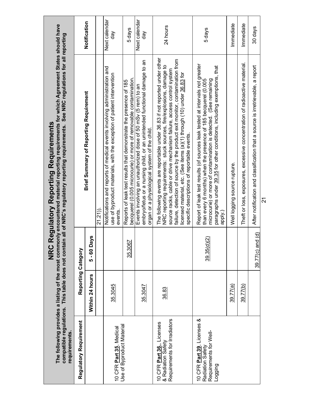| requirements                                                                        |                    | <b>NRC</b>       | The following provides a listing of the most commonly encountered material reporting requirements for which Agreement States should have<br>compatible regulations. This table does not contain all of NRC's regulatory reporting requirements. See NRC regulations for all reporting<br><b>Regulatory Reporting Requirements</b>                                                                                                      |                                          |
|-------------------------------------------------------------------------------------|--------------------|------------------|----------------------------------------------------------------------------------------------------------------------------------------------------------------------------------------------------------------------------------------------------------------------------------------------------------------------------------------------------------------------------------------------------------------------------------------|------------------------------------------|
| Regulatory Requirement                                                              | Reporting Category |                  |                                                                                                                                                                                                                                                                                                                                                                                                                                        |                                          |
|                                                                                     | Within 24 hours    | 5 - 60 Days      | <b>Brief Summary of Reporting Requirement</b>                                                                                                                                                                                                                                                                                                                                                                                          | Notification                             |
|                                                                                     |                    |                  | 21.21)                                                                                                                                                                                                                                                                                                                                                                                                                                 |                                          |
| 10 CFR Part 35, Medical                                                             | 35.3045            |                  | Notifications and reports of medical events involving administration and<br>use of byproduct materials, with the exception of patient intervention<br>events                                                                                                                                                                                                                                                                           | Next calendar<br>$\frac{8}{9}$           |
| Use of Byproduct Material                                                           |                    | 35.3067          | becquerel (0.005 microcurie) or more of removable contamination<br>Reports of leak test results that demonstrate the presence of 185                                                                                                                                                                                                                                                                                                   | 5 days                                   |
|                                                                                     | 35.3047            |                  | embryo/fetus or a nursing child, or an unintended functional damage to an<br>Events involving an unauthorized dose of 50 mSv (5 rem) to an<br>organ or a physiological system of the child.                                                                                                                                                                                                                                            | Next calendar<br>$\overline{\mathsf{d}}$ |
| Requirements for Irradiators<br>10 CFR Part 36, Licenses<br>& Radiation Safety      | 36.83              |                  | The following events are reportable under 36.83 if not reported under other<br>failure, detection of source by the product exit monitor, contamination from<br>NRC reporting requirements: stuck sources, fire/explosions, damage to<br>source racks, cable or drive mechanism failure, access control system<br>licensed material, etc. (See items (a)(1) through (10) under 36.83 for<br>specific descriptions of reportable events. | 24 hours                                 |
| 10 CFR Part 39, Licenses &<br>Requirements for Well-<br>Radiation Safety<br>Logging |                    | 39.35(d)(2)      | Report of leak test results (of sources leak tested at intervals not greater<br>paragraphs under 39.35 for other conditions, including exemptions, that<br>than every 6 months) when the presence of 185 becquerel (0.005<br>microcurie) or more of contamination is detected. (See remaining<br>apply.)                                                                                                                               | 5 days                                   |
|                                                                                     | 39.77(a`           |                  | Well logging source rupture.                                                                                                                                                                                                                                                                                                                                                                                                           | Inmediate                                |
|                                                                                     | 39.77(b)           |                  | Theft or loss, exposures, excessive concentration of radioactive material.                                                                                                                                                                                                                                                                                                                                                             | Immediate                                |
|                                                                                     |                    | 39.77(c) and (d) | After notification and classification that a source is irretrievable, a report                                                                                                                                                                                                                                                                                                                                                         | 30 days                                  |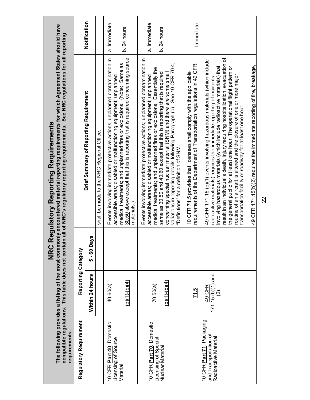| requirements.                                                                      |                                                           | <b>NRC</b>    | The following provides a listing of the most commonly encountered material reporting requirements for which Agreement States should have<br>compatible regulations. This table does not contain all of NRC's regulatory reporting requirements. See NRC regulations for all reporting<br><b>Regulatory Reporting Requirements</b> |              |
|------------------------------------------------------------------------------------|-----------------------------------------------------------|---------------|-----------------------------------------------------------------------------------------------------------------------------------------------------------------------------------------------------------------------------------------------------------------------------------------------------------------------------------|--------------|
| Regulatory Requirement                                                             | Reporting Category                                        |               |                                                                                                                                                                                                                                                                                                                                   |              |
|                                                                                    | Within 24 hours                                           | $5 - 60$ Days | <b>Brief Summary of Reporting Requirement</b>                                                                                                                                                                                                                                                                                     | Notification |
|                                                                                    |                                                           |               | shall be made to the NRC Regional Office.                                                                                                                                                                                                                                                                                         |              |
| 10 CFR Part 40, Domestic<br>Licensing of Source                                    | 40.60(a)                                                  |               | Events involving immediate protective actions, unplanned contamination in<br>accessible areas; disabled or malfunctioning equipment; unplanned                                                                                                                                                                                    | a. Immediate |
| Material                                                                           | $(b)(1)-(b)(4)$                                           |               | 30.50 above except that this is reporting that is required concerning source<br>medical treatments; and unplanned fires or explosions. (Note: Same as<br>materials.)                                                                                                                                                              | $b.24$ hours |
| 10 CFR Part 70, Domestic                                                           | 70.50(a)                                                  |               | Events involving immediate protective actions; unplanned contamination in<br>accessible areas; disabled or malfunctioning equipment; unplanned                                                                                                                                                                                    | a. Immediate |
| Licensing of Special<br>Nuclear Material                                           | $(b)(1)-(b)(4)$                                           |               | medical treatments; and unplanned fires or explosions. Essentially the<br>same as 30.50 and 40.60 except that this is reporting that is required<br>concerning special nuclear material (SNM) and there are some small                                                                                                            | $b.24$ hours |
|                                                                                    |                                                           |               | variations in reporting details following Paragraph (c). See 10 CFR 70.4,<br>Definitions" for a definition of SNM.                                                                                                                                                                                                                |              |
|                                                                                    | $\overline{71.5}$                                         |               | requirements of the Department of Transportation regulations in 49 CFR.<br>10 CFR 71.5 provides that licensees shall comply with the applicable                                                                                                                                                                                   | Inmediate    |
| 10 CFR <b>Part 71</b> , Packaging<br>and Transportation of<br>Radioactive Material | $\frac{49 \text{ CFR}}{171.15 \text{ (b)(1) and}}$<br>ତ୍ର |               | 49 CFR 171.15 (b)(1) events involving hazardous materials (which include<br>involving hazardous materials (which include radioactive materials) that<br>radioactive materials) requires the immediate reporting of incidents                                                                                                      |              |
|                                                                                    |                                                           |               | result in an individual's death, injury requiring hospitalization, evacuation of<br>the general public for at least one hour, The operational flight pattern or<br>routine of an aircraft is altered and the closure of one or more major<br>transportation facility or roadway for at least one hour.                            |              |
|                                                                                    |                                                           |               | 49 CFR 171.15(b)(2) requires the immediate reporting of fire, breakage,                                                                                                                                                                                                                                                           |              |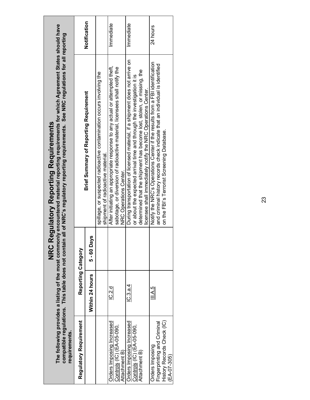| compatible regulations. This table does not contair<br>requirements.                        |                    |               | The following provides a listing of the most commonly encountered material reporting requirements for which Agreement States should have<br>n all of NRC's regulatory reporting requirements. See NRC regulations for all reporting<br><b>NRC Regulatory Reporting Requirements</b>            |              |
|---------------------------------------------------------------------------------------------|--------------------|---------------|------------------------------------------------------------------------------------------------------------------------------------------------------------------------------------------------------------------------------------------------------------------------------------------------|--------------|
| Regulatory Requirement                                                                      | Reporting Category |               |                                                                                                                                                                                                                                                                                                |              |
|                                                                                             | Within 24 hours    | $5 - 60$ Days | <b>Brief Summary of Reporting Requirement</b>                                                                                                                                                                                                                                                  | Notification |
|                                                                                             |                    |               | spillage, or suspected radioactive contamination occurs involving the<br>shipment of radioactive material.                                                                                                                                                                                     |              |
| Orders Imposing Increased<br>Controls (IC) (EA-05-090,<br>Attachment B)                     | lC.2.d             |               | After initiating an appropriate response to any actual or attempted theft,<br>sabotage, or diversion of radioactive material, licensees shall notify the<br>NRC Operations Center.                                                                                                             | Immediate    |
| Orders Imposing Increased<br>Controls (IC) (EA-05-090,<br>Attachment B)                     | IC.3.a.4           |               | During transportation of licensed material, if a shipment does not arrive on<br>determined that the shipment has become lost, stolen, or missing, the<br>or about the expected arrival time and through the investigation it is<br>icensee shall immediately notify the NRC Operations Center. | Immediate    |
| History Records Check (IC)<br>Fingerprinting and Criminal<br>Orders Imposing<br>(EA-07-305) | III.A.5            |               | Notify the NRC's Operations Center if the results from a FBI identification<br>and criminal history records check indicate that an individual is identified<br>on the FBI's Terrorist Screening Database.                                                                                      | 24 hours     |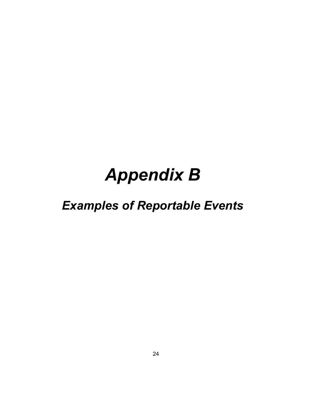# *Appendix B*

## *Examples of Reportable Events*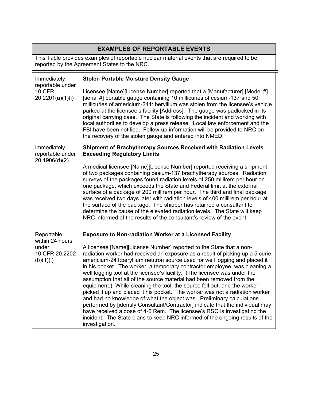|                                                                       | <b>EXAMPLES OF REPORTABLE EVENTS</b>                                                                                                                                                                                                                                                                                                                                                                                                                                                                                                                                                                                                                                                                                                                                                                                                                                                                                                                                                                                                          |
|-----------------------------------------------------------------------|-----------------------------------------------------------------------------------------------------------------------------------------------------------------------------------------------------------------------------------------------------------------------------------------------------------------------------------------------------------------------------------------------------------------------------------------------------------------------------------------------------------------------------------------------------------------------------------------------------------------------------------------------------------------------------------------------------------------------------------------------------------------------------------------------------------------------------------------------------------------------------------------------------------------------------------------------------------------------------------------------------------------------------------------------|
|                                                                       | This Table provides examples of reportable nuclear material events that are required to be<br>reported by the Agreement States to the NRC.                                                                                                                                                                                                                                                                                                                                                                                                                                                                                                                                                                                                                                                                                                                                                                                                                                                                                                    |
| Immediately<br>reportable under<br><b>10 CFR</b><br>20.2201(a)(1)(i)  | <b>Stolen Portable Moisture Density Gauge</b><br>Licensee [Name][License Number] reported that a [Manufacturer] [Model #]<br>[serial #] portable gauge containing 10 millicuries of cesium-137 and 50<br>millicuries of americium-241: beryllium was stolen from the licensee's vehicle<br>parked at the licensee's facility [Address]. The gauge was padlocked in its<br>original carrying case. The State is following the incident and working with<br>local authorities to develop a press release. Local law enforcement and the<br>FBI have been notified. Follow-up information will be provided to NRC on<br>the recovery of the stolen gauge and entered into NMED.                                                                                                                                                                                                                                                                                                                                                                  |
| Immediately<br>reportable under<br>20.1906(d)(2)                      | Shipment of Brachytherapy Sources Received with Radiation Levels<br><b>Exceeding Regulatory Limits</b><br>A medical licensee [Name][License Number] reported receiving a shipment<br>of two packages containing cesium-137 brachytherapy sources. Radiation<br>surveys of the packages found radiation levels of 250 millirem per hour on<br>one package, which exceeds the State and Federal limit at the external<br>surface of a package of 200 millirem per hour. The third and final package<br>was received two days later with radiation levels of 400 millirem per hour at<br>the surface of the package. The shipper has retained a consultant to<br>determine the cause of the elevated radiation levels. The State will keep<br>NRC informed of the results of the consultant's review of the event.                                                                                                                                                                                                                               |
| Reportable<br>within 24 hours<br>under<br>10 CFR 20.2202<br>(b)(1)(i) | <b>Exposure to Non-radiation Worker at a Licensed Facility</b><br>A licensee [Name][License Number] reported to the State that a non-<br>radiation worker had received an exposure as a result of picking up a 5 curie<br>americium-241: beryllium neutron source used for well logging and placed it<br>in his pocket. The worker, a temporary contractor employee, was cleaning a<br>well logging tool at the licensee's facility. (The licensee was under the<br>assumption that all of the source material had been removed from the<br>equipment.) While cleaning the tool, the source fell out, and the worker<br>picked it up and placed it his pocket. The worker was not a radiation worker<br>and had no knowledge of what the object was. Preliminary calculations<br>performed by [identify Consultant/Contractor] indicate that the individual may<br>have received a dose of 4-6 Rem. The licensee's RSO is investigating the<br>incident. The State plans to keep NRC informed of the ongoing results of the<br>investigation. |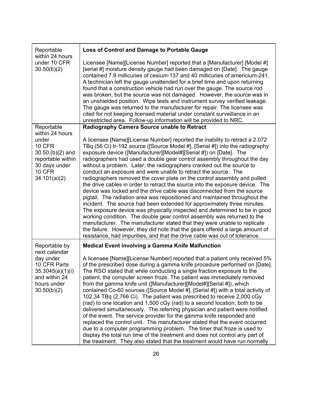| Reportable<br>within 24 hours                                                                                                         | Loss of Control and Damage to Portable Gauge                                                                                                                                                                                                                                                                                                                                                                                                                                                                                                                                                                                                                                                                                                                                                                                                                                                                                                                                                                                                                                                                                                                                                                                                               |
|---------------------------------------------------------------------------------------------------------------------------------------|------------------------------------------------------------------------------------------------------------------------------------------------------------------------------------------------------------------------------------------------------------------------------------------------------------------------------------------------------------------------------------------------------------------------------------------------------------------------------------------------------------------------------------------------------------------------------------------------------------------------------------------------------------------------------------------------------------------------------------------------------------------------------------------------------------------------------------------------------------------------------------------------------------------------------------------------------------------------------------------------------------------------------------------------------------------------------------------------------------------------------------------------------------------------------------------------------------------------------------------------------------|
| under 10 CFR<br>30.50(b)(2)                                                                                                           | Licensee [Name][License Number] reported that a [Manufacturer] [Model #]<br>[serial #] moisture density gauge had been damaged on [Date]. The gauge<br>contained 7.9 millicuries of cesium-137 and 40 millicuries of americium-241.<br>A technician left the gauge unattended for a brief time and upon returning<br>found that a construction vehicle had run over the gauge. The source rod<br>was broken, but the source was not damaged. However, the source was in<br>an unshielded position. Wipe tests and instrument survey verified leakage.<br>The gauge was returned to the manufacturer for repair. The licensee was<br>cited for not keeping licensed material under constant surveillance in an<br>unrestricted area. Follow-up information will be provided to NRC.                                                                                                                                                                                                                                                                                                                                                                                                                                                                         |
| Reportable                                                                                                                            | Radiography Camera Source unable to Retract                                                                                                                                                                                                                                                                                                                                                                                                                                                                                                                                                                                                                                                                                                                                                                                                                                                                                                                                                                                                                                                                                                                                                                                                                |
| within 24 hours<br>under<br><b>10 CFR</b><br>$30.50(p)(2)$ and<br>reportable within<br>30 days under<br><b>10 CFR</b><br>34.101(a)(2) | A licensee [Name][License Number] reported the inability to retract a 2.072<br>TBq (56 Ci) Ir-192 source ([Source Model #], [Serial #]) into the radiography<br>exposure device ([Manufacturer][Model#][Serial #]) on [Date]. The<br>radiographers had used a double gear control assembly throughout the day<br>without a problem. Later, the radiographers cranked out the source to<br>conduct an exposure and were unable to retract the source. The<br>radiographers removed the cover plate on the control assembly and pulled<br>the drive cables in order to retract the source into the exposure device. The<br>device was locked and the drive cable was disconnected from the source<br>pigtail. The radiation area was repositioned and maintained throughout the<br>incident. The source had been extended for approximately three minutes.<br>The exposure device was physically inspected and determined to be in good<br>working condition. The double gear control assembly was returned to the<br>manufacturer. The manufacturer stated that they were unable to replicate<br>the failure. However, they did note that the gears offered a large amount of<br>resistance, had impurities, and that the drive cable was out of tolerance. |
| Reportable by                                                                                                                         | <b>Medical Event involving a Gamma Knife Malfunction</b>                                                                                                                                                                                                                                                                                                                                                                                                                                                                                                                                                                                                                                                                                                                                                                                                                                                                                                                                                                                                                                                                                                                                                                                                   |
| next calendar<br>day under<br>10 CFR Parts<br>35.3045(a)(1)(i)<br>and within 24<br>hours under<br>30.50(b)(2)                         | A licensee [Name][License Number] reported that a patient only received 5%<br>of the prescribed dose during a gamma knife procedure performed on [Date].<br>The RSO stated that while conducting a single fraction exposure to the<br>patient, the computer screen froze. The patient was immediately removed<br>from the gamma knife unit ([Manufacturer][Model#][Serial #]), which<br>contained Co-60 sources ([Source Model #], [Serial #]) with a total activity of<br>102.34 TBq (2,766 Ci). The patient was prescribed to receive 2,000 cGy<br>(rad) to one location and 1,500 cGy (rad) to a second location, both to be<br>delivered simultaneously. The referring physician and patient were notified<br>of the event. The service provider for the gamma knife responded and<br>replaced the control unit. The manufacturer stated that the event occurred<br>due to a computer programming problem. The timer that froze is used to<br>display the total run time of the treatment and does not control any part of<br>the treatment. They also stated that the treatment would have run normally                                                                                                                                               |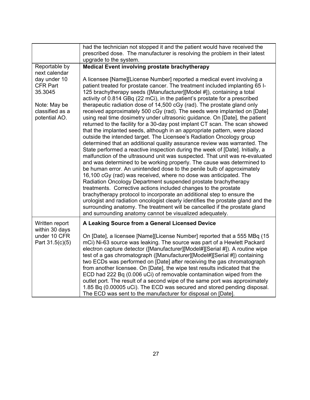|                                                                                                                                  | had the technician not stopped it and the patient would have received the                                                                                                                                                                                                                                                                                                                                                                                                                                                                                                                                                                                                                                                                                                                                                                                                                                                                                                                                                                                                                                                                                                                                                                                                                                                                                                                                                                                                                                                                                                                                                                                                                                                                                     |
|----------------------------------------------------------------------------------------------------------------------------------|---------------------------------------------------------------------------------------------------------------------------------------------------------------------------------------------------------------------------------------------------------------------------------------------------------------------------------------------------------------------------------------------------------------------------------------------------------------------------------------------------------------------------------------------------------------------------------------------------------------------------------------------------------------------------------------------------------------------------------------------------------------------------------------------------------------------------------------------------------------------------------------------------------------------------------------------------------------------------------------------------------------------------------------------------------------------------------------------------------------------------------------------------------------------------------------------------------------------------------------------------------------------------------------------------------------------------------------------------------------------------------------------------------------------------------------------------------------------------------------------------------------------------------------------------------------------------------------------------------------------------------------------------------------------------------------------------------------------------------------------------------------|
|                                                                                                                                  | prescribed dose. The manufacturer is resolving the problem in their latest                                                                                                                                                                                                                                                                                                                                                                                                                                                                                                                                                                                                                                                                                                                                                                                                                                                                                                                                                                                                                                                                                                                                                                                                                                                                                                                                                                                                                                                                                                                                                                                                                                                                                    |
|                                                                                                                                  | upgrade to the system.                                                                                                                                                                                                                                                                                                                                                                                                                                                                                                                                                                                                                                                                                                                                                                                                                                                                                                                                                                                                                                                                                                                                                                                                                                                                                                                                                                                                                                                                                                                                                                                                                                                                                                                                        |
| Reportable by<br>next calendar<br>day under 10<br><b>CFR Part</b><br>35.3045<br>Note: May be<br>classified as a<br>potential AO. | Medical Event involving prostate brachytherapy<br>A licensee [Name][License Number] reported a medical event involving a<br>patient treated for prostate cancer. The treatment included implanting 65 I-<br>125 brachytherapy seeds ([Manufacturer][Model #]), containing a total<br>activity of 0.814 GBq (22 mCi), in the patient's prostate for a prescribed<br>therapeutic radiation dose of 14,500 cGy (rad). The prostate gland only<br>received approximately 500 cGy (rad). The seeds were implanted on [Date]<br>using real time dosimetry under ultrasonic guidance. On [Date], the patient<br>returned to the facility for a 30-day post implant CT scan. The scan showed<br>that the implanted seeds, although in an appropriate pattern, were placed<br>outside the intended target. The Licensee's Radiation Oncology group<br>determined that an additional quality assurance review was warranted. The<br>State performed a reactive inspection during the week of [Date]. Initially, a<br>malfunction of the ultrasound unit was suspected. That unit was re-evaluated<br>and was determined to be working properly. The cause was determined to<br>be human error. An unintended dose to the penile bulb of approximately<br>16,100 cGy (rad) was received, where no dose was anticipated. The<br>Radiation Oncology Department suspended prostate brachytherapy<br>treatments. Corrective actions included changes to the prostate<br>brachytherapy protocol to incorporate an additional step to ensure the<br>urologist and radiation oncologist clearly identifies the prostate gland and the<br>surrounding anatomy. The treatment will be cancelled if the prostate gland<br>and surrounding anatomy cannot be visualized adequately. |
| Written report<br>within 30 days                                                                                                 | A Leaking Source from a General Licensed Device                                                                                                                                                                                                                                                                                                                                                                                                                                                                                                                                                                                                                                                                                                                                                                                                                                                                                                                                                                                                                                                                                                                                                                                                                                                                                                                                                                                                                                                                                                                                                                                                                                                                                                               |
| under 10 CFR<br>Part 31.5(c)(5)                                                                                                  | On [Date], a licensee [Name][License Number] reported that a 555 MBq (15<br>mCi) Ni-63 source was leaking. The source was part of a Hewlett Packard<br>electron capture detector ([Manufacturer][Model#][Serial #]). A routine wipe<br>test of a gas chromatograph ([Manufacturer][Model#][Serial #]) containing<br>two ECDs was performed on [Date] after receiving the gas chromatograph<br>from another licensee. On [Date], the wipe test results indicated that the<br>ECD had 222 Bq (0.006 uCi) of removable contamination wiped from the<br>outlet port. The result of a second wipe of the same port was approximately<br>1.85 Bq (0.00005 uCi). The ECD was secured and stored pending disposal.<br>The ECD was sent to the manufacturer for disposal on [Date].                                                                                                                                                                                                                                                                                                                                                                                                                                                                                                                                                                                                                                                                                                                                                                                                                                                                                                                                                                                    |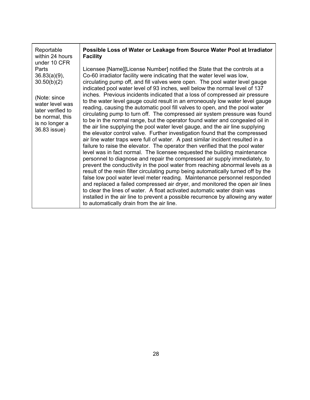| Reportable<br>within 24 hours                                                                                                                                        | Possible Loss of Water or Leakage from Source Water Pool at Irradiator<br><b>Facility</b>                                                                                                                                                                                                                                                                                                                                                                                                                                                                                                                                                                                                                                                                                                                                                                                                                                                                                                                                                                                                                                                                                                                                                                                                                                                                                                                                                                                                                                                                                                                                                                                                                                        |
|----------------------------------------------------------------------------------------------------------------------------------------------------------------------|----------------------------------------------------------------------------------------------------------------------------------------------------------------------------------------------------------------------------------------------------------------------------------------------------------------------------------------------------------------------------------------------------------------------------------------------------------------------------------------------------------------------------------------------------------------------------------------------------------------------------------------------------------------------------------------------------------------------------------------------------------------------------------------------------------------------------------------------------------------------------------------------------------------------------------------------------------------------------------------------------------------------------------------------------------------------------------------------------------------------------------------------------------------------------------------------------------------------------------------------------------------------------------------------------------------------------------------------------------------------------------------------------------------------------------------------------------------------------------------------------------------------------------------------------------------------------------------------------------------------------------------------------------------------------------------------------------------------------------|
| under 10 CFR<br>Parts<br>$36.83(a)(9)$ ,<br>30.50(b)(2)<br>(Note: since<br>water level was<br>later verified to<br>be normal, this<br>is no longer a<br>36.83 issue) | Licensee [Name][License Number] notified the State that the controls at a<br>Co-60 irradiator facility were indicating that the water level was low,<br>circulating pump off, and fill valves were open. The pool water level gauge<br>indicated pool water level of 93 inches, well below the normal level of 137<br>inches. Previous incidents indicated that a loss of compressed air pressure<br>to the water level gauge could result in an erroneously low water level gauge<br>reading, causing the automatic pool fill valves to open, and the pool water<br>circulating pump to turn off. The compressed air system pressure was found<br>to be in the normal range, but the operator found water and congealed oil in<br>the air line supplying the pool water level gauge, and the air line supplying<br>the elevator control valve. Further investigation found that the compressed<br>air line water traps were full of water. A past similar incident resulted in a<br>failure to raise the elevator. The operator then verified that the pool water<br>level was in fact normal. The licensee requested the building maintenance<br>personnel to diagnose and repair the compressed air supply immediately, to<br>prevent the conductivity in the pool water from reaching abnormal levels as a<br>result of the resin filter circulating pump being automatically turned off by the<br>false low pool water level meter reading. Maintenance personnel responded<br>and replaced a failed compressed air dryer, and monitored the open air lines<br>to clear the lines of water. A float activated automatic water drain was<br>installed in the air line to prevent a possible recurrence by allowing any water |
|                                                                                                                                                                      | to automatically drain from the air line.                                                                                                                                                                                                                                                                                                                                                                                                                                                                                                                                                                                                                                                                                                                                                                                                                                                                                                                                                                                                                                                                                                                                                                                                                                                                                                                                                                                                                                                                                                                                                                                                                                                                                        |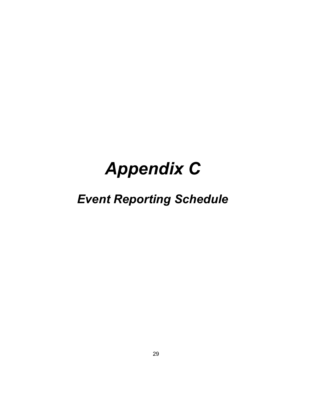# *Appendix C*

## *Event Reporting Schedule*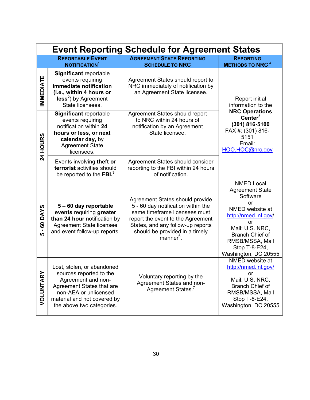|                                         | <b>Event Reporting Schedule for Agreement States</b>                                                                                                                                          |                                                                                                                                                                                                                                             |                                                                                                                                                                                                                         |  |  |  |
|-----------------------------------------|-----------------------------------------------------------------------------------------------------------------------------------------------------------------------------------------------|---------------------------------------------------------------------------------------------------------------------------------------------------------------------------------------------------------------------------------------------|-------------------------------------------------------------------------------------------------------------------------------------------------------------------------------------------------------------------------|--|--|--|
|                                         | <b>REPORTABLE EVENT</b><br>NOTIFICATION <sup>1</sup>                                                                                                                                          | <b>AGREEMENT STATE REPORTING</b><br><b>SCHEDULE TO NRC</b>                                                                                                                                                                                  | <b>REPORTING</b><br><b>METHODS TO NRC<sup>4</sup></b>                                                                                                                                                                   |  |  |  |
| <b>IMMEDIATE</b>                        | Significant reportable<br>events requiring<br>immediate notification<br>(i.e., within 4 hours or<br>$less2$ ) by Agreement<br>State licensees.                                                | Agreement States should report to<br>NRC immediately of notification by<br>an Agreement State licensee.                                                                                                                                     | <b>Report initial</b><br>information to the<br><b>NRC Operations</b><br>Center <sup>5</sup><br>(301) 816-5100<br>FAX #: (301) 816-<br>5151<br>Email:<br>HOO.HOC@nrc.gov                                                 |  |  |  |
| <b>24 HOURS</b>                         | Significant reportable<br>events requiring<br>notification within 24<br>hours or less, or next<br>calendar day, by<br><b>Agreement State</b><br>licensees.                                    | Agreement States should report<br>to NRC within 24 hours of<br>notification by an Agreement<br>State licensee.                                                                                                                              |                                                                                                                                                                                                                         |  |  |  |
|                                         | Events involving theft or<br>terrorist activities should<br>be reported to the FBI. <sup>3</sup>                                                                                              | Agreement States should consider<br>reporting to the FBI within 24 hours<br>of notification.                                                                                                                                                |                                                                                                                                                                                                                         |  |  |  |
| <b>DAYS</b><br>8<br>$\blacksquare$<br>ທ | 5-60 day reportable<br>events requiring greater<br>than 24 hour notification by<br><b>Agreement State licensee</b><br>and event follow-up reports.                                            | Agreement States should provide<br>5 - 60 day notification within the<br>same timeframe licensees must<br>report the event to the Agreement<br>States, and any follow-up reports<br>should be provided in a timely<br>manner <sup>6</sup> . | <b>NMED Local</b><br><b>Agreement State</b><br>Software<br>or<br>NMED website at<br>http://nmed.inl.gov/<br>or<br>Mail: U.S. NRC,<br><b>Branch Chief of</b><br>RMSB/MSSA, Mail<br>Stop T-8-E24,<br>Washington, DC 20555 |  |  |  |
| VOLUNTARY                               | Lost, stolen, or abandoned<br>sources reported to the<br>Agreement and non-<br>Agreement States that are<br>non-AEA or unlicensed<br>material and not covered by<br>the above two categories. | Voluntary reporting by the<br>Agreement States and non-<br>Agreement States. <sup>7</sup>                                                                                                                                                   | NMED website at<br>http://nmed.inl.gov/<br>or<br>Mail: U.S. NRC,<br>Branch Chief of<br>RMSB/MSSA, Mail<br>Stop T-8-E24,<br>Washington, DC 20555                                                                         |  |  |  |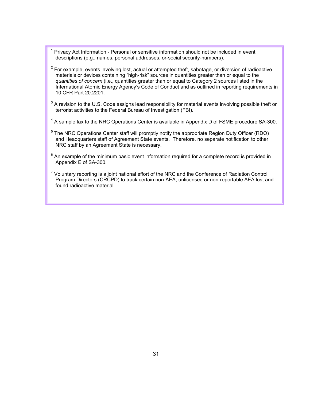- <sup>1</sup> Privacy Act Information Personal or sensitive information should not be included in event descriptions (e.g., names, personal addresses, or-social security-numbers).
- $2$  For example, events involving lost, actual or attempted theft, sabotage, or diversion of radioactive materials or devices containing "high-risk" sources in quantities greater than or equal to the *quantities of concern* (i.e., quantities greater than or equal to Category 2 sources listed in the International Atomic Energy Agency's Code of Conduct and as outlined in reporting requirements in 10 CFR Part 20.2201.
- $^3$  A revision to the U.S. Code assigns lead responsibility for material events involving possible theft or terrorist activities to the Federal Bureau of Investigation (FBI).
- $4$  A sample fax to the NRC Operations Center is available in Appendix D of FSME procedure SA-300.
- <sup>5</sup> The NRC Operations Center staff will promptly notify the appropriate Region Duty Officer (RDO) and Headquarters staff of Agreement State events. Therefore, no separate notification to other NRC staff by an Agreement State is necessary.
- $6$  An example of the minimum basic event information required for a complete record is provided in Appendix E of SA-300.
- $7$  Voluntary reporting is a joint national effort of the NRC and the Conference of Radiation Control Program Directors (CRCPD) to track certain non-AEA, unlicensed or non-reportable AEA lost and found radioactive material.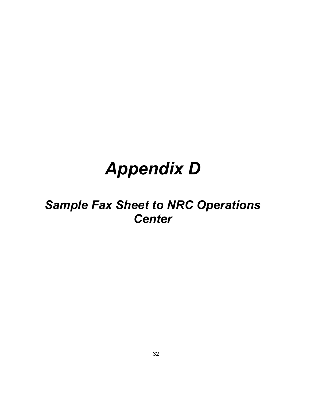# *Appendix D*

## *Sample Fax Sheet to NRC Operations Center*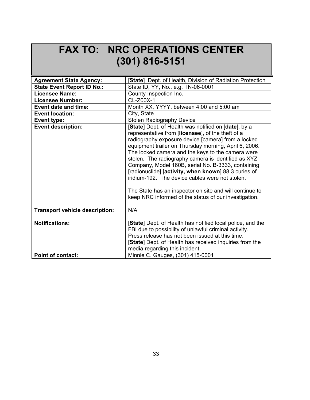### **FAX TO: NRC OPERATIONS CENTER (301) 816-5151**

| <b>Agreement State Agency:</b>                    | [State] Dept. of Health, Division of Radiation Protection                                                                                                                                                                                                                                                                                                                                                                                                                                                                                                                                                                 |
|---------------------------------------------------|---------------------------------------------------------------------------------------------------------------------------------------------------------------------------------------------------------------------------------------------------------------------------------------------------------------------------------------------------------------------------------------------------------------------------------------------------------------------------------------------------------------------------------------------------------------------------------------------------------------------------|
| <b>State Event Report ID No.:</b>                 | State ID, YY, No., e.g. TN-06-0001                                                                                                                                                                                                                                                                                                                                                                                                                                                                                                                                                                                        |
| <b>Licensee Name:</b>                             | County Inspection Inc.                                                                                                                                                                                                                                                                                                                                                                                                                                                                                                                                                                                                    |
| <b>Licensee Number:</b>                           | CL-Z00X-1                                                                                                                                                                                                                                                                                                                                                                                                                                                                                                                                                                                                                 |
| <b>Event date and time:</b>                       | Month XX, YYYY, between 4:00 and 5:00 am                                                                                                                                                                                                                                                                                                                                                                                                                                                                                                                                                                                  |
| <b>Event location:</b>                            | City, State                                                                                                                                                                                                                                                                                                                                                                                                                                                                                                                                                                                                               |
| Event type:                                       | <b>Stolen Radiography Device</b>                                                                                                                                                                                                                                                                                                                                                                                                                                                                                                                                                                                          |
| <b>Event description:</b>                         | [State] Dept. of Health was notified on [date], by a<br>representative from [licensee], of the theft of a<br>radiography exposure device [camera] from a locked<br>equipment trailer on Thursday morning, April 6, 2006.<br>The locked camera and the keys to the camera were<br>stolen. The radiography camera is identified as XYZ<br>Company, Model 160B, serial No. B-3333, containing<br>[radionuclide] [activity, when known] 88.3 curies of<br>iridium-192. The device cables were not stolen.<br>The State has an inspector on site and will continue to<br>keep NRC informed of the status of our investigation. |
| <b>Transport vehicle description:</b>             | N/A                                                                                                                                                                                                                                                                                                                                                                                                                                                                                                                                                                                                                       |
| <b>Notifications:</b><br><b>Point of contact:</b> | [State] Dept. of Health has notified local police, and the<br>FBI due to possibility of unlawful criminal activity.<br>Press release has not been issued at this time.<br>[State] Dept. of Health has received inquiries from the<br>media regarding this incident.<br>Minnie C. Gauges, (301) 415-0001                                                                                                                                                                                                                                                                                                                   |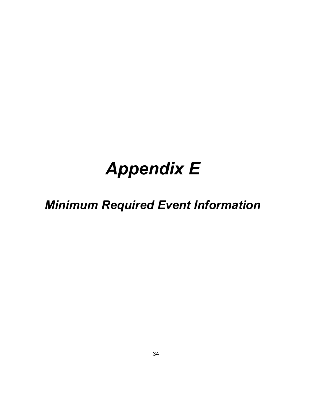# *Appendix E*

## *Minimum Required Event Information*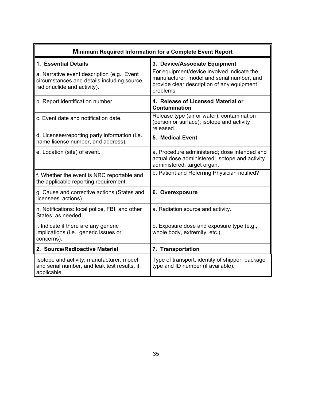| <b>Minimum Required Information for a Complete Event Report</b>                                                          |                                                                                                                                                     |  |  |  |
|--------------------------------------------------------------------------------------------------------------------------|-----------------------------------------------------------------------------------------------------------------------------------------------------|--|--|--|
| 1. Essential Details                                                                                                     | 3. Device/Associate Equipment                                                                                                                       |  |  |  |
| a. Narrative event description (e.g., Event<br>circumstances and details including source<br>radionuclide and activity). | For equipment/device involved indicate the<br>manufacturer, model and serial number, and<br>provide clear description of any equipment<br>problems. |  |  |  |
| b. Report identification number.                                                                                         | 4. Release of Licensed Material or<br>Contamination                                                                                                 |  |  |  |
| c. Event date and notification date.                                                                                     | Release type (air or water); contamination<br>(person or surface); isotope and activity<br>released.                                                |  |  |  |
| d. Licensee/reporting party information (i.e.,<br>name license number, and address).                                     | 5. Medical Event                                                                                                                                    |  |  |  |
| e. Location (site) of event.                                                                                             | a. Procedure administered; dose intended and<br>actual dose administered; isotope and activity<br>administered; target organ.                       |  |  |  |
| f. Whether the event is NRC reportable and<br>the applicable reporting requirement.                                      | b. Patient and Referring Physician notified?                                                                                                        |  |  |  |
| g. Cause and corrective actions (States and<br>licensees' actions).                                                      | 6. Overexposure                                                                                                                                     |  |  |  |
| h. Notifications: local police, FBI, and other<br>States; as needed.                                                     | a. Radiation source and activity.                                                                                                                   |  |  |  |
| i. Indicate if there are any generic<br>implications (i.e., generic issues or<br>concerns).                              | b. Exposure dose and exposure type (e.g.,<br>whole body, extremity, etc.).                                                                          |  |  |  |
| 2. Source/Radioactive Material                                                                                           | 7. Transportation                                                                                                                                   |  |  |  |
| Isotope and activity; manufacturer, model<br>and serial number, and leak test results, if<br>applicable.                 | Type of transport; identity of shipper; package<br>type and ID number (if available).                                                               |  |  |  |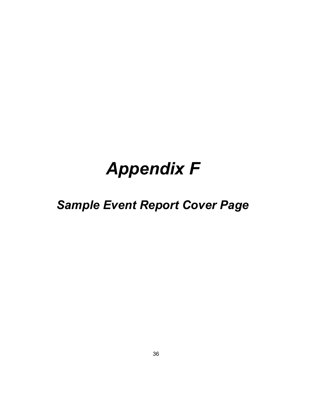# *Appendix F*

## *Sample Event Report Cover Page*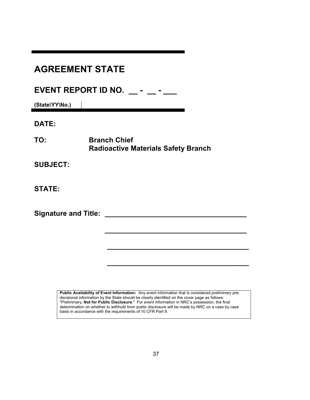| <b>AGREEMENT STATE</b>                    |                                                                                                                                                                                                                                                                                                       |  |  |
|-------------------------------------------|-------------------------------------------------------------------------------------------------------------------------------------------------------------------------------------------------------------------------------------------------------------------------------------------------------|--|--|
| EVENT REPORT ID NO. - -<br>(State\YY\No.) |                                                                                                                                                                                                                                                                                                       |  |  |
| DATE:                                     |                                                                                                                                                                                                                                                                                                       |  |  |
| TO:                                       | <b>Branch Chief</b><br><b>Radioactive Materials Safety Branch</b>                                                                                                                                                                                                                                     |  |  |
| <b>SUBJECT:</b>                           |                                                                                                                                                                                                                                                                                                       |  |  |
| <b>STATE:</b>                             |                                                                                                                                                                                                                                                                                                       |  |  |
| <b>Signature and Title:</b>               |                                                                                                                                                                                                                                                                                                       |  |  |
|                                           |                                                                                                                                                                                                                                                                                                       |  |  |
|                                           |                                                                                                                                                                                                                                                                                                       |  |  |
|                                           | Public Availability of Event Information: Any event information that is considered preliminary pre-                                                                                                                                                                                                   |  |  |
|                                           | decisional information by the State should be clearly identified on the cover page as follows:<br>"Preliminary, Not for Public Disclosure." For event information in NRC's possession, the final<br>determination on whether to withhold from public disclosure will be made by NRC on a case by case |  |  |

basis in accordance with the requirements of 10 CFR Part 9.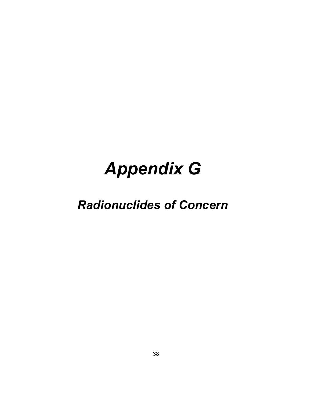# *Appendix G*

## *Radionuclides of Concern*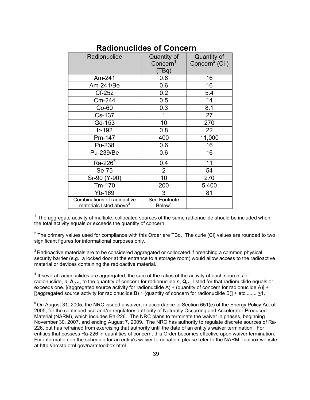| Radionuclide                                                       | Quantity of<br>Concern <sup>1</sup><br>(TBq) | Quantity of<br>Concern <sup>2</sup> (Ci) |
|--------------------------------------------------------------------|----------------------------------------------|------------------------------------------|
| Am-241                                                             | 0.6                                          | 16                                       |
| Am-241/Be                                                          | 0.6                                          | 16                                       |
| Cf-252                                                             | 0.2                                          | 5.4                                      |
| Cm-244                                                             | 0.5                                          | 14                                       |
| $Co-60$                                                            | 0.3                                          | 8.1                                      |
| Cs-137                                                             | 1                                            | 27                                       |
| Gd-153                                                             | 10                                           | 270                                      |
| Ir-192                                                             | 0.8                                          | 22                                       |
| Pm-147                                                             | 400                                          | 11,000                                   |
| Pu-238                                                             | 0.6                                          | 16                                       |
| Pu-239/Be                                                          | 0.6                                          | 16                                       |
| $Ra - 2265$                                                        | 0.4                                          | 11                                       |
| Se-75                                                              | $\overline{2}$                               | 54                                       |
| Sr-90 (Y-90)                                                       | 10                                           | 270                                      |
| Tm-170                                                             | 200                                          | 5,400                                    |
| Yb-169                                                             | 3                                            | 81                                       |
| Combinations of radioactive<br>materials listed above <sup>3</sup> | See Footnote<br>Below <sup>4</sup>           |                                          |

#### **Radionuclides of Concern**

 $1$  The aggregate activity of multiple, collocated sources of the same radionuclide should be included when the total activity equals or exceeds the quantity of concern.

 $2$  The primary values used for compliance with this Order are TBq. The curie (Ci) values are rounded to two significant figures for informational purposes only.

 $3$  Radioactive materials are to be considered aggregated or collocated if breaching a common physical security barrier (e.g., a locked door at the entrance to a storage room) would allow access to the radioactive material or devices containing the radioactive material.

4 If several radionuclides are aggregated, the sum of the ratios of the activity of each source, *i* of radionuclide, *n*,  $A_{(i,n)}$ , to the quantity of concern for radionuclide *n*,  $Q_{(n)}$ , listed for that radionuclide equals or exceeds one. [(aggregated source activity for radionuclide A) ÷ (quantity of concern for radionuclide A)] + [(aggregated source activity for radionuclide B) ÷ (quantity of concern for radionuclide B)] + etc........ >1.

 $5$  On August 31, 2005, the NRC issued a waiver, in accordance to Section 651(e) of the Energy Policy Act of 2005, for the continued use and/or regulatory authority of Naturally Occurring and Accelerator-Produced Material (NARM), which includes Ra-226. The NRC plans to terminate the waiver in phases, beginning November 30, 2007, and ending August 7, 2009. The NRC has authority to regulate discrete sources of Ra-226, but has refrained from exercising that authority until the date of an entity's waiver termination. For entities that possess Ra-226 in quantities of concern, this Order becomes effective upon waiver termination. For information on the schedule for an entity's waiver termination, please refer to the NARM Toolbox website at http://nrcstp.ornl.gov/narmtoolbox.html.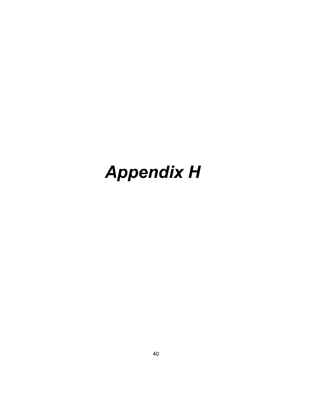# *Appendix H*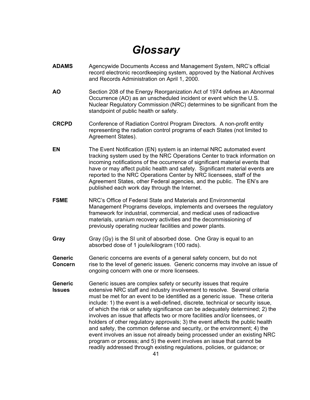### *Glossary*

- **ADAMS** Agencywide Documents Access and Management System, NRC's official record electronic recordkeeping system, approved by the National Archives and Records Administration on April 1, 2000.
- **AO** Section 208 of the Energy Reorganization Act of 1974 defines an Abnormal Occurrence (AO) as an unscheduled incident or event which the U.S. Nuclear Regulatory Commission (NRC) determines to be significant from the standpoint of public health or safety.
- **CRCPD** Conference of Radiation Control Program Directors. A non-profit entity representing the radiation control programs of each States (not limited to Agreement States).
- **EN** The Event Notification (EN) system is an internal NRC automated event tracking system used by the NRC Operations Center to track information on incoming notifications of the occurrence of significant material events that have or may affect public health and safety. Significant material events are reported to the NRC Operations Center by NRC licensees, staff of the Agreement States, other Federal agencies, and the public. The EN's are published each work day through the Internet.
- **FSME** NRC's Office of Federal State and Materials and Environmental Management Programs develops, implements and oversees the regulatory framework for industrial, commercial, and medical uses of radioactive materials, uranium recovery activities and the decommissioning of previously operating nuclear facilities and power plants.
- **Gray** Gray (Gy) is the SI unit of absorbed dose. One Gray is equal to an absorbed dose of 1 joule/kilogram (100 rads).
- Generic Generic concerns are events of a general safety concern, but do not **Concern** rise to the level of generic issues. Generic concerns may involve an issue of ongoing concern with one or more licensees.
- **Generic** Generic issues are complex safety or security issues that require **Issues** extensive NRC staff and industry involvement to resolve. Several criteria must be met for an event to be identified as a generic issue. These criteria include: 1) the event is a well-defined, discrete, technical or security issue, of which the risk or safety significance can be adequately determined; 2) the involves an issue that affects two or more facilities and/or licensees, or holders of other regulatory approvals; 3) the event affects the public health and safety, the common defense and security, or the environment; 4) the event involves an issue not already being processed under an existing NRC program or process; and 5) the event involves an issue that cannot be readily addressed through existing regulations, policies, or guidance; or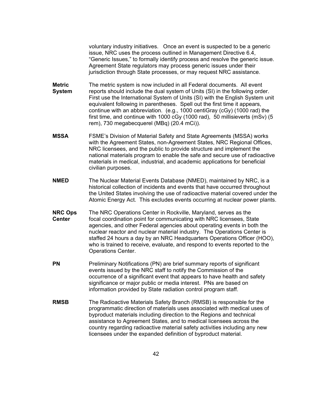voluntary industry initiatives. Once an event is suspected to be a generic issue, NRC uses the process outlined in Management Directive 6.4, "Generic Issues," to formally identify process and resolve the generic issue. Agreement State regulators may process generic issues under their jurisdiction through State processes, or may request NRC assistance.

- **Metric** The metric system is now included in all Federal documents. All event **System** reports should include the dual system of Units (SI) in the following order. First use the International System of Units (SI) with the English System unit equivalent following in parentheses. Spell out the first time it appears, continue with an abbreviation. (e.g., 1000 centiGray (cGy) (1000 rad) the first time, and continue with 1000 cGy (1000 rad), 50 millisieverts (mSv) (5 rem), 730 megabecquerel (MBq) (20.4 mCi)).
- **MSSA** FSME's Division of Material Safety and State Agreements (MSSA) works with the Agreement States, non-Agreement States, NRC Regional Offices, NRC licensees, and the public to provide structure and implement the national materials program to enable the safe and secure use of radioactive materials in medical, industrial, and academic applications for beneficial civilian purposes.
- **NMED** The Nuclear Material Events Database (NMED), maintained by NRC, is a historical collection of incidents and events that have occurred throughout the United States involving the use of radioactive material covered under the Atomic Energy Act. This excludes events occurring at nuclear power plants.
- **NRC Ops** The NRC Operations Center in Rockville, Maryland, serves as the **Center** focal coordination point for communicating with NRC licensees, State agencies, and other Federal agencies about operating events in both the nuclear reactor and nuclear material industry. The Operations Center is staffed 24 hours a day by an NRC Headquarters Operations Officer (HOO), who is trained to receive, evaluate, and respond to events reported to the Operations Center.
- **PN** Preliminary Notifications (PN) are brief summary reports of significant events issued by the NRC staff to notify the Commission of the occurrence of a significant event that appears to have health and safety significance or major public or media interest. PNs are based on information provided by State radiation control program staff.
- **RMSB** The Radioactive Materials Safety Branch (RMSB) is responsible for the programmatic direction of materials uses associated with medical uses of byproduct materials including direction to the Regions and technical assistance to Agreement States, and to medical licensees across the country regarding radioactive material safety activities including any new licensees under the expanded definition of byproduct material.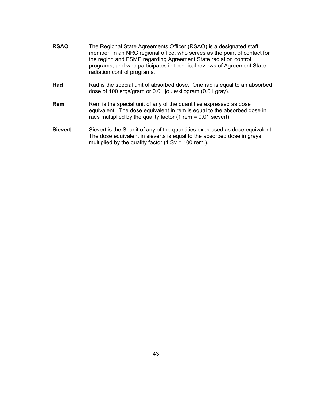- **RSAO** The Regional State Agreements Officer (RSAO) is a designated staff member, in an NRC regional office, who serves as the point of contact for the region and FSME regarding Agreement State radiation control programs, and who participates in technical reviews of Agreement State radiation control programs.
- **Rad** Rad is the special unit of absorbed dose. One rad is equal to an absorbed dose of 100 ergs/gram or 0.01 joule/kilogram (0.01 gray).
- **Rem** Rem is the special unit of any of the quantities expressed as dose equivalent. The dose equivalent in rem is equal to the absorbed dose in rads multiplied by the quality factor (1 rem = 0.01 sievert).
- **Sievert** Sievert is the SI unit of any of the quantities expressed as dose equivalent. The dose equivalent in sieverts is equal to the absorbed dose in grays multiplied by the quality factor  $(1 Sv = 100 rem.)$ .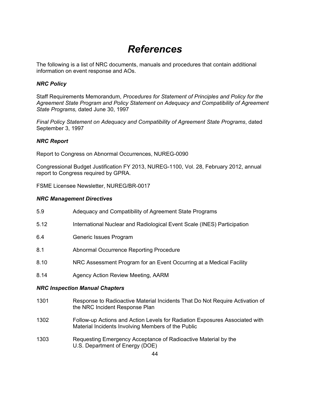### *References*

The following is a list of NRC documents, manuals and procedures that contain additional information on event response and AOs.

#### *NRC Policy*

Staff Requirements Memorandum, *Procedures for Statement of Principles and Policy for the Agreement State Program and Policy Statement on Adequacy and Compatibility of Agreement State Programs,* dated June 30, 1997

*Final Policy Statement on Adequacy and Compatibility of Agreement State Programs*, dated September 3, 1997

#### *NRC Report*

Report to Congress on Abnormal Occurrences, NUREG-0090

Congressional Budget Justification FY 2013, NUREG-1100, Vol. 28, February 2012, annual report to Congress required by GPRA.

FSME Licensee Newsletter, NUREG/BR-0017

#### *NRC Management Directives*

| 1301                                  | Response to Radioactive Material Incidents That Do Not Require Activation of<br>the NRC Incident Response Plan |  |  |
|---------------------------------------|----------------------------------------------------------------------------------------------------------------|--|--|
| <b>NRC Inspection Manual Chapters</b> |                                                                                                                |  |  |
| 8.14                                  | Agency Action Review Meeting, AARM                                                                             |  |  |
| 8.10                                  | NRC Assessment Program for an Event Occurring at a Medical Facility                                            |  |  |
| 8.1                                   | Abnormal Occurrence Reporting Procedure                                                                        |  |  |
| 6.4                                   | Generic Issues Program                                                                                         |  |  |
| 5.12                                  | International Nuclear and Radiological Event Scale (INES) Participation                                        |  |  |
| 5.9                                   | Adequacy and Compatibility of Agreement State Programs                                                         |  |  |

- 1302 Follow-up Actions and Action Levels for Radiation Exposures Associated with Material Incidents Involving Members of the Public
- 1303 Requesting Emergency Acceptance of Radioactive Material by the U.S. Department of Energy (DOE)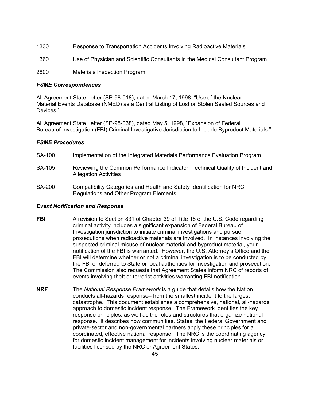- 1330 Response to Transportation Accidents Involving Radioactive Materials
- 1360 Use of Physician and Scientific Consultants in the Medical Consultant Program

2800 Materials Inspection Program

#### *FSME Correspondences*

All Agreement State Letter (SP-98-018), dated March 17, 1998, "Use of the Nuclear Material Events Database (NMED) as a Central Listing of Lost or Stolen Sealed Sources and Devices."

All Agreement State Letter (SP-98-038), dated May 5, 1998, "Expansion of Federal Bureau of Investigation (FBI) Criminal Investigative Jurisdiction to Include Byproduct Materials."

#### *FSME Procedures*

- SA-100 Implementation of the Integrated Materials Performance Evaluation Program
- SA-105 Reviewing the Common Performance Indicator, Technical Quality of Incident and Allegation Activities
- SA-200 Compatibility Categories and Health and Safety Identification for NRC Regulations and Other Program Elements

#### *Event Notification and Response*

- **FBI** A revision to Section 831 of Chapter 39 of Title 18 of the U.S. Code regarding criminal activity includes a significant expansion of Federal Bureau of Investigation jurisdiction to initiate criminal investigations and pursue prosecutions when radioactive materials are involved. In instances involving the suspected criminal misuse of nuclear material and byproduct material, your notification of the FBI is warranted. However, the U.S. Attorney's Office and the FBI will determine whether or not a criminal investigation is to be conducted by the FBI or deferred to State or local authorities for investigation and prosecution. The Commission also requests that Agreement States inform NRC of reports of events involving theft or terrorist activities warranting FBI notification.
- **NRF** The *National Response Framework* is a guide that details how the Nation conducts all-hazards response– from the smallest incident to the largest catastrophe. This document establishes a comprehensive, national, all-hazards approach to domestic incident response. The Framework identifies the key response principles, as well as the roles and structures that organize national response. It describes how communities, States, the Federal Government and private-sector and non-governmental partners apply these principles for a coordinated, effective national response. The NRC is the coordinating agency for domestic incident management for incidents involving nuclear materials or facilities licensed by the NRC or Agreement States.